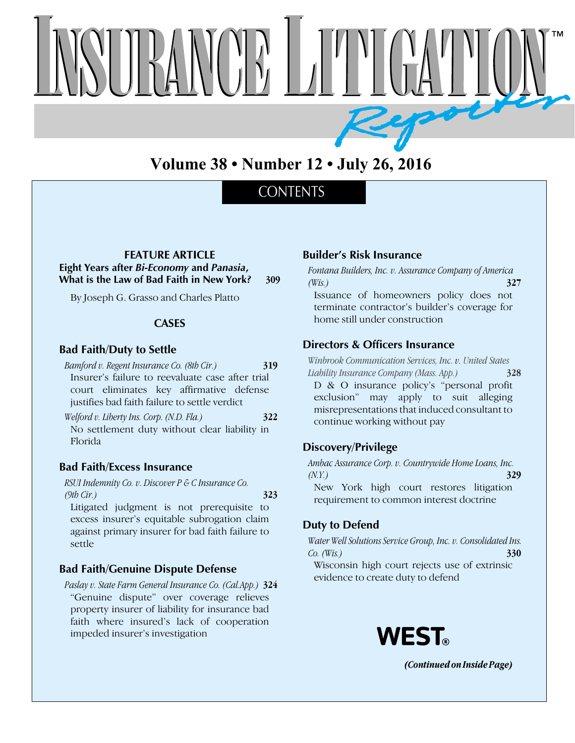

# **Volume 38 • Number 12 • July 26, 2016**

## **CONTENTS**

**FEATURE ARTICLE Eight Years after** *Bi-Economy* **and** *Panasia***, What is the Law of Bad Faith in New York***?* **309**

By Joseph G. Grasso and Charles Platto

### **CASES**

#### **Bad Faith/Duty to Settle**

*Bamford v. Regent Insurance Co. (8th Cir.)* **319** Insurer's failure to reevaluate case after trial court eliminates key affirmative defense justifies bad faith failure to settle verdict

*Welford v. Liberty Ins. Corp. (N.D. Fla.)* **322** No settlement duty without clear liability in Florida

### **Bad Faith/Excess Insurance**

*RSUI Indemnity Co. v. Discover P & C Insurance Co. (9th Cir.)* **323**

Litigated judgment is not prerequisite to excess insurer's equitable subrogation claim against primary insurer for bad faith failure to settle

### **Bad Faith/Genuine Dispute Defense**

*Paslay v. State Farm General Insurance Co. (Cal.App.)* **324** "Genuine dispute" over coverage relieves property insurer of liability for insurance bad faith where insured's lack of cooperation impeded insurer's investigation

### **Builder's Risk Insurance**

*Fontana Builders, Inc. v. Assurance Company of America (Wis.)* **327** Issuance of homeowners policy does not terminate contractor's builder's coverage for home still under construction

### **Directors & Officers Insurance**

*Winbrook Communication Services, Inc. v. United States Liability Insurance Company (Mass. App.)* **328** D & O insurance policy's "personal profit exclusion" may apply to suit alleging misrepresentations that induced consultant to continue working without pay

### **Discovery/Privilege**

*Ambac Assurance Corp. v. Countrywide Home Loans, Inc. (N.Y.)* **329** New York high court restores litigation requirement to common interest doctrine

### **Duty to Defend**

*Water Well Solutions Service Group, Inc. v. Consolidated Ins. Co. (Wis.)* **330** Wisconsin high court rejects use of extrinsic evidence to create duty to defend



 *(Continued on Inside Page)*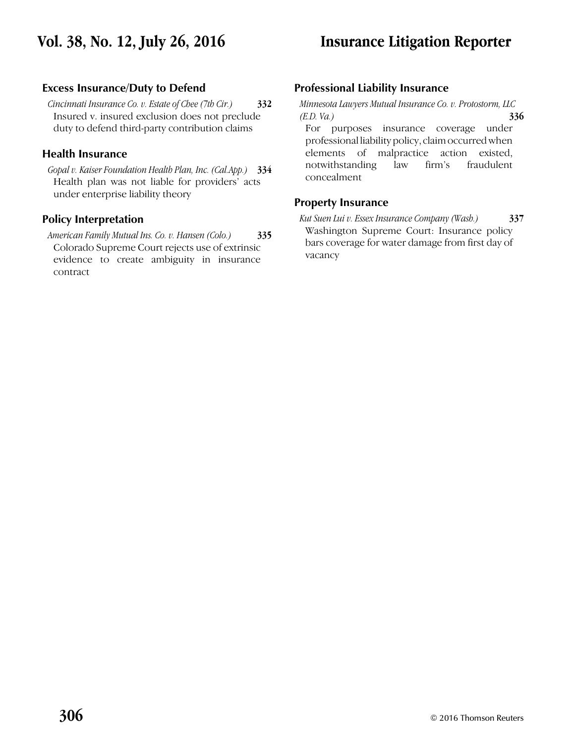# **Vol. 38, No. 12, July 26, 2016 Insurance Litigation Reporter**

### **Excess Insurance/Duty to Defend**

*Cincinnati Insurance Co. v. Estate of Chee (7th Cir.)* **332** Insured v. insured exclusion does not preclude duty to defend third-party contribution claims

### **Health Insurance**

*Gopal v. Kaiser Foundation Health Plan, Inc. (Cal.App.)* **334** Health plan was not liable for providers' acts under enterprise liability theory

### **Policy Interpretation**

*American Family Mutual Ins. Co. v. Hansen (Colo.)* **335** Colorado Supreme Court rejects use of extrinsic evidence to create ambiguity in insurance contract

### **Professional Liability Insurance**

*Minnesota Lawyers Mutual Insurance Co. v. Protostorm, LLC (E.D. Va.)* **336** For purposes insurance coverage under professional liability policy, claim occurred when elements of malpractice action existed, notwithstanding law firm's fraudulent concealment

### **Property Insurance**

*Kut Suen Lui v. Essex Insurance Company (Wash.)* **337** Washington Supreme Court: Insurance policy bars coverage for water damage from first day of vacancy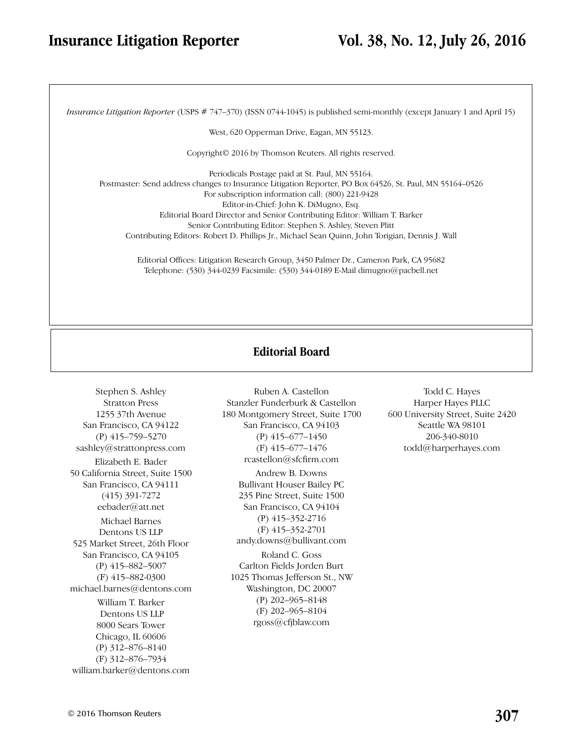*Insurance Litigation Reporter* (USPS # 747–370) (ISSN 0744-1045) is published semi-monthly (except January 1 and April 15)

West, 620 Opperman Drive, Eagan, MN 55123.

Copyright© 2016 by Thomson Reuters. All rights reserved.

Periodicals Postage paid at St. Paul, MN 55164. Postmaster: Send address changes to Insurance Litigation Reporter, PO Box 64526, St. Paul, MN 55164–0526 For subscription information call: (800) 221-9428 Editor-in-Chief: John K. DiMugno, Esq. Editorial Board Director and Senior Contributing Editor: William T. Barker Senior Contributing Editor: Stephen S. Ashley, Steven Plitt Contributing Editors: Robert D. Phillips Jr., Michael Sean Quinn, John Torigian, Dennis J. Wall

Editorial Offices: Litigation Research Group, 3450 Palmer Dr., Cameron Park, CA 95682 Telephone: (530) 344-0239 Facsimile: (530) 344-0189 E-Mail dimugno@pacbell.net

### **Editorial Board**

Stephen S. Ashley Stratton Press 1255 37th Avenue San Francisco, CA 94122 (P) 415–759–5270 sashley@strattonpress.com Elizabeth E. Bader 50 California Street, Suite 1500 San Francisco, CA 94111 (415) 391-7272 eebader@att.net Michael Barnes Dentons US LLP 525 Market Street, 26th Floor San Francisco, CA 94105 (P) 415–882–5007 (F) 415–882-0300 michael.barnes@dentons.com William T. Barker Dentons US LLP 8000 Sears Tower Chicago, IL 60606 (P) 312–876–8140 (F) 312–876–7934 william.barker@dentons.com

Ruben A. Castellon Stanzler Funderburk & Castellon 180 Montgomery Street, Suite 1700 San Francisco, CA 94103 (P) 415–677–1450 (F) 415–677–1476 rcastellon@sfcfirm.com

Andrew B. Downs Bullivant Houser Bailey PC 235 Pine Street, Suite 1500 San Francisco, CA 94104 (P) 415–352-2716 (F) 415–352-2701 andy.downs@bullivant.com

Roland C. Goss Carlton Fields Jorden Burt 1025 Thomas Jefferson St., NW Washington, DC 20007 (P) 202–965–8148 (F) 202–965–8104 rgoss@cfjblaw.com

Todd C. Hayes Harper Hayes PLLC 600 University Street, Suite 2420 Seattle WA 98101 206-340-8010 todd@harperhayes.com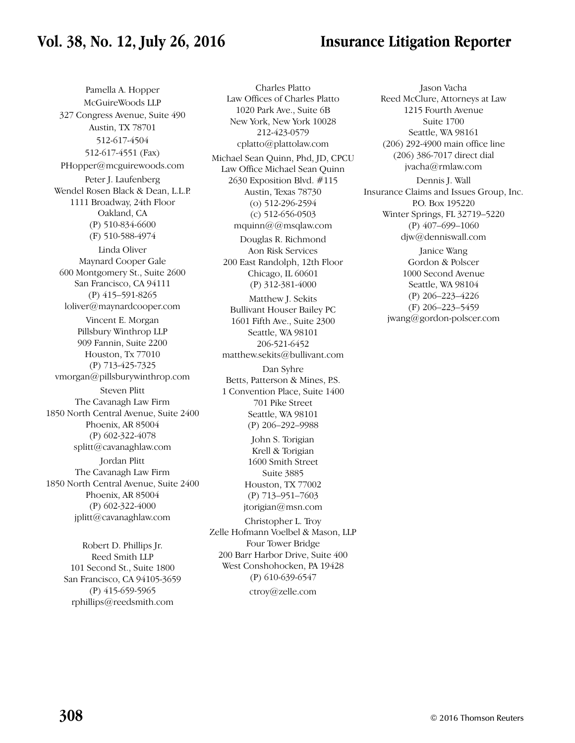## **Vol. 38, No. 12, July 26, 2016 Insurance Litigation Reporter**

Pamella A. Hopper McGuireWoods LLP 327 Congress Avenue, Suite 490 Austin, TX 78701 512-617-4504 512-617-4551 (Fax) PHopper@mcguirewoods.com Peter J. Laufenberg Wendel Rosen Black & Dean, L.L.P. 1111 Broadway, 24th Floor Oakland, CA (P) 510-834-6600 (F) 510-588-4974 Linda Oliver Maynard Cooper Gale 600 Montgomery St., Suite 2600 San Francisco, CA 94111 (P) 415–591-8265 loliver@maynardcooper.com Vincent E. Morgan Pillsbury Winthrop LLP 909 Fannin, Suite 2200 Houston, Tx 77010 (P) 713-425-7325 vmorgan@pillsburywinthrop.com Steven Plitt The Cavanagh Law Firm 1850 North Central Avenue, Suite 2400 Phoenix, AR 85004 (P) 602-322-4078 splitt@cavanaghlaw.com Jordan Plitt The Cavanagh Law Firm 1850 North Central Avenue, Suite 2400 Phoenix, AR 85004 (P) 602-322-4000 jplitt@cavanaghlaw.com

> Robert D. Phillips Jr. Reed Smith LLP 101 Second St., Suite 1800 San Francisco, CA 94105-3659 (P) 415-659-5965 rphillips@reedsmith.com

Charles Platto Law Offices of Charles Platto 1020 Park Ave., Suite 6B New York, New York 10028 212-423-0579 cplatto@plattolaw.com Michael Sean Quinn, Phd, JD, CPCU Law Office Michael Sean Quinn 2630 Exposition Blvd. #115 Austin, Texas 78730 (o) 512-296-2594 (c) 512-656-0503 mquinn@@msqlaw.com Douglas R. Richmond Aon Risk Services 200 East Randolph, 12th Floor Chicago, IL 60601 (P) 312-381-4000 Matthew J. Sekits Bullivant Houser Bailey PC 1601 Fifth Ave., Suite 2300 Seattle, WA 98101 206-521-6452 matthew.sekits@bullivant.com Dan Syhre Betts, Patterson & Mines, P.S. 1 Convention Place, Suite 1400 701 Pike Street Seattle, WA 98101 (P) 206–292–9988 John S. Torigian Krell & Torigian 1600 Smith Street Suite 3885 Houston, TX 77002 (P) 713–951–7603 jtorigian@msn.com Christopher L. Troy Zelle Hofmann Voelbel & Mason, LLP Four Tower Bridge 200 Barr Harbor Drive, Suite 400 West Conshohocken, PA 19428

> (P) 610-639-6547 ctroy@zelle.com

Reed McClure, Attorneys at Law 1215 Fourth Avenue Suite 1700 Seattle, WA 98161 (206) 292-4900 main office line (206) 386-7017 direct dial jvacha@rmlaw.com Dennis J. Wall Insurance Claims and Issues Group, Inc. P.O. Box 195220 Winter Springs, FL 32719–5220 (P) 407–699–1060 djw@denniswall.com Janice Wang Gordon & Polscer 1000 Second Avenue Seattle, WA 98104 (P) 206–223–4226 (F) 206–223–5459 jwang@gordon-polscer.com

Jason Vacha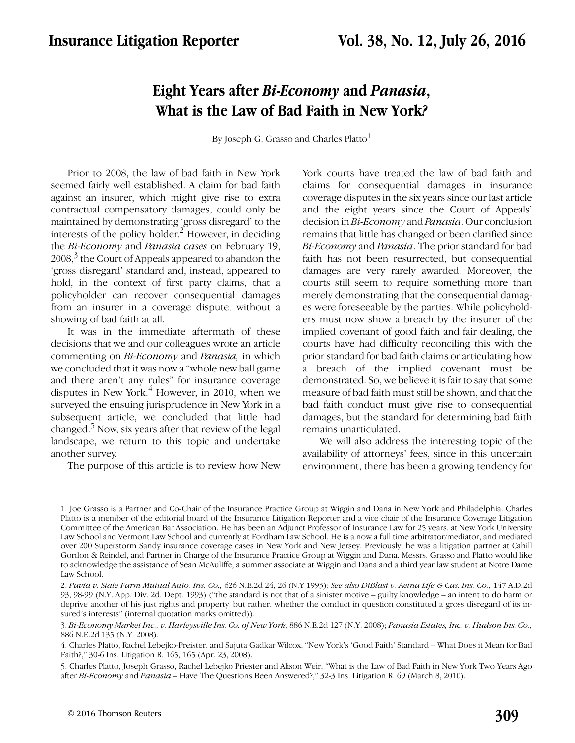# **Eight Years after** *Bi-Economy* **and** *Panasia***, What is the Law of Bad Faith in New York***?*

By Joseph G. Grasso and Charles Platto<sup>1</sup>

Prior to 2008, the law of bad faith in New York seemed fairly well established. A claim for bad faith against an insurer, which might give rise to extra contractual compensatory damages, could only be maintained by demonstrating 'gross disregard' to the interests of the policy holder.<sup>2</sup> However, in deciding the *Bi-Economy* and *Panasia cases* on February 19,  $2008<sup>3</sup>$  the Court of Appeals appeared to abandon the 'gross disregard' standard and, instead, appeared to hold, in the context of first party claims, that a policyholder can recover consequential damages from an insurer in a coverage dispute, without a showing of bad faith at all.

It was in the immediate aftermath of these decisions that we and our colleagues wrote an article commenting on *Bi-Economy* and *Panasia,* in which we concluded that it was now a "whole new ball game and there aren't any rules" for insurance coverage disputes in New York. $4$  However, in 2010, when we surveyed the ensuing jurisprudence in New York in a subsequent article, we concluded that little had changed.5 Now, six years after that review of the legal landscape, we return to this topic and undertake another survey.

The purpose of this article is to review how New

York courts have treated the law of bad faith and claims for consequential damages in insurance coverage disputes in the six years since our last article and the eight years since the Court of Appeals' decision in *Bi-Economy* and *Panasia*. Our conclusion remains that little has changed or been clarified since *Bi-Economy* and *Panasia*. The prior standard for bad faith has not been resurrected, but consequential damages are very rarely awarded. Moreover, the courts still seem to require something more than merely demonstrating that the consequential damages were foreseeable by the parties. While policyholders must now show a breach by the insurer of the implied covenant of good faith and fair dealing, the courts have had difficulty reconciling this with the prior standard for bad faith claims or articulating how a breach of the implied covenant must be demonstrated. So, we believe it is fair to say that some measure of bad faith must still be shown, and that the bad faith conduct must give rise to consequential damages, but the standard for determining bad faith remains unarticulated.

We will also address the interesting topic of the availability of attorneys' fees, since in this uncertain environment, there has been a growing tendency for

<sup>1.</sup> Joe Grasso is a Partner and Co-Chair of the Insurance Practice Group at Wiggin and Dana in New York and Philadelphia. Charles Platto is a member of the editorial board of the Insurance Litigation Reporter and a vice chair of the Insurance Coverage Litigation Committee of the American Bar Association. He has been an Adjunct Professor of Insurance Law for 25 years, at New York University Law School and Vermont Law School and currently at Fordham Law School. He is a now a full time arbitrator/mediator, and mediated over 200 Superstorm Sandy insurance coverage cases in New York and New Jersey. Previously, he was a litigation partner at Cahill Gordon & Reindel, and Partner in Charge of the Insurance Practice Group at Wiggin and Dana. Messrs. Grasso and Platto would like to acknowledge the assistance of Sean McAuliffe, a summer associate at Wiggin and Dana and a third year law student at Notre Dame Law School.

<sup>2.</sup> *Pavia v. State Farm Mutual Auto. Ins. Co.,* 626 N.E.2d 24, 26 (N.Y 1993); *See also DiBlasi v. Aetna Life & Cas. Ins. Co.,* 147 A.D.2d 93, 98-99 (N.Y. App. Div. 2d. Dept. 1993) ("the standard is not that of a sinister motive – guilty knowledge – an intent to do harm or deprive another of his just rights and property, but rather, whether the conduct in question constituted a gross disregard of its insured's interests" (internal quotation marks omitted)).

<sup>3.</sup> *Bi-Economy Market Inc., v. Harleysville Ins. Co. of New York,* 886 N.E.2d 127 (N.Y. 2008); *Panasia Estates, Inc. v. Hudson Ins. Co.,* 886 N.E.2d 135 (N.Y. 2008).

<sup>4.</sup> Charles Platto, Rachel Lebejko-Preister, and Sujuta Gadkar Wilcox, "New York's 'Good Faith' Standard – What Does it Mean for Bad Faith?," 30-6 Ins. Litigation R. 165, 165 (Apr. 23, 2008).

<sup>5.</sup> Charles Platto, Joseph Grasso, Rachel Lebejko Priester and Alison Weir, "What is the Law of Bad Faith in New York Two Years Ago after *Bi-Economy* and *Panasia* – Have The Questions Been Answered?," 32-3 Ins. Litigation R. 69 (March 8, 2010).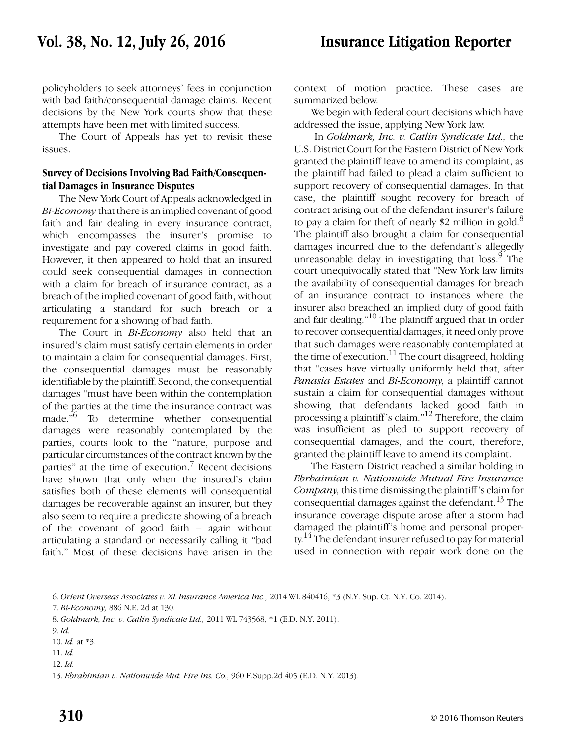policyholders to seek attorneys' fees in conjunction with bad faith/consequential damage claims. Recent decisions by the New York courts show that these attempts have been met with limited success.

The Court of Appeals has yet to revisit these issues.

### **Survey of Decisions Involving Bad Faith/Consequential Damages in Insurance Disputes**

The New York Court of Appeals acknowledged in *Bi-Economy* that there is an implied covenant of good faith and fair dealing in every insurance contract, which encompasses the insurer's promise to investigate and pay covered claims in good faith. However, it then appeared to hold that an insured could seek consequential damages in connection with a claim for breach of insurance contract, as a breach of the implied covenant of good faith, without articulating a standard for such breach or a requirement for a showing of bad faith.

The Court in *Bi-Economy* also held that an insured's claim must satisfy certain elements in order to maintain a claim for consequential damages. First, the consequential damages must be reasonably identifiable by the plaintiff. Second, the consequential damages "must have been within the contemplation of the parties at the time the insurance contract was made.<sup>"6</sup> To determine whether consequential damages were reasonably contemplated by the parties, courts look to the "nature, purpose and particular circumstances of the contract known by the parties" at the time of execution.<sup>7</sup> Recent decisions have shown that only when the insured's claim satisfies both of these elements will consequential damages be recoverable against an insurer, but they also seem to require a predicate showing of a breach of the covenant of good faith – again without articulating a standard or necessarily calling it "bad faith." Most of these decisions have arisen in the

context of motion practice. These cases are summarized below.

We begin with federal court decisions which have addressed the issue, applying New York law.

 In *Goldmark, Inc. v. Catlin Syndicate Ltd.,* the U.S. District Court for the Eastern District of New York granted the plaintiff leave to amend its complaint, as the plaintiff had failed to plead a claim sufficient to support recovery of consequential damages. In that case, the plaintiff sought recovery for breach of contract arising out of the defendant insurer's failure to pay a claim for theft of nearly \$2 million in gold.<sup>8</sup> The plaintiff also brought a claim for consequential damages incurred due to the defendant's allegedly unreasonable delay in investigating that  $loss^{\mathfrak{H}}$  The court unequivocally stated that "New York law limits the availability of consequential damages for breach of an insurance contract to instances where the insurer also breached an implied duty of good faith and fair dealing."<sup>10</sup> The plaintiff argued that in order to recover consequential damages, it need only prove that such damages were reasonably contemplated at the time of execution.<sup>11</sup> The court disagreed, holding that "cases have virtually uniformly held that, after *Panasia Estates* and *Bi-Economy*, a plaintiff cannot sustain a claim for consequential damages without showing that defendants lacked good faith in processing a plaintiff 's claim."12 Therefore, the claim was insufficient as pled to support recovery of consequential damages, and the court, therefore, granted the plaintiff leave to amend its complaint.

The Eastern District reached a similar holding in *Ebrhaimian v. Nationwide Mutual Fire Insurance Company,* this time dismissing the plaintiff 's claim for consequential damages against the defendant.<sup>13</sup> The insurance coverage dispute arose after a storm had damaged the plaintiff 's home and personal property.<sup>14</sup> The defendant insurer refused to pay for material used in connection with repair work done on the

<sup>6.</sup> *Orient Overseas Associates v. XL Insurance America Inc.,* 2014 WL 840416, \*3 (N.Y. Sup. Ct. N.Y. Co. 2014).

<sup>7.</sup> *Bi-Economy,* 886 N.E. 2d at 130.

<sup>8.</sup> *Goldmark, Inc. v. Catlin Syndicate Ltd.,* 2011 WL 743568, \*1 (E.D. N.Y. 2011).

<sup>9.</sup> *Id.*

<sup>10.</sup> *Id.* at \*3.

<sup>11.</sup> *Id.*

<sup>12.</sup> *Id.* 

<sup>13.</sup> *Ebrahimian v. Nationwide Mut. Fire Ins. Co.,* 960 F.Supp.2d 405 (E.D. N.Y. 2013).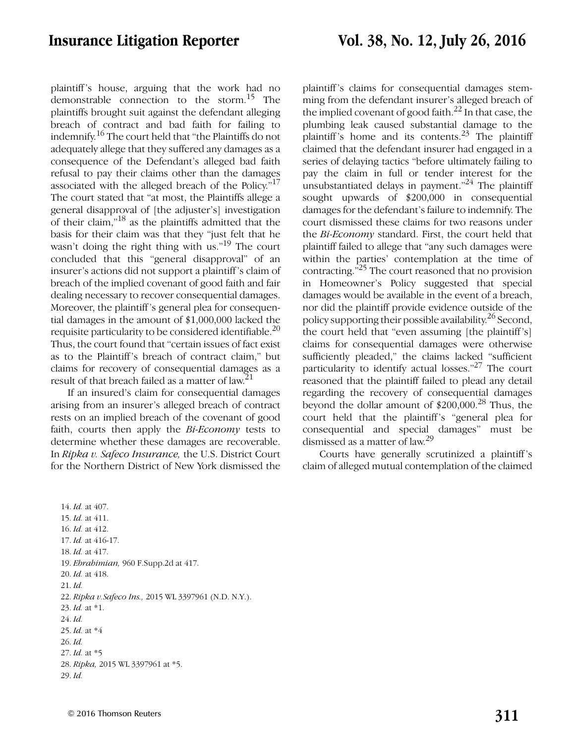plaintiff 's house, arguing that the work had no demonstrable connection to the storm.<sup>15</sup> The plaintiffs brought suit against the defendant alleging breach of contract and bad faith for failing to indemnify.16 The court held that "the Plaintiffs do not adequately allege that they suffered any damages as a consequence of the Defendant's alleged bad faith refusal to pay their claims other than the damages associated with the alleged breach of the Policy. $n^{17}$ The court stated that "at most, the Plaintiffs allege a general disapproval of [the adjuster's] investigation of their claim,"18 as the plaintiffs admitted that the basis for their claim was that they "just felt that he wasn't doing the right thing with us."<sup>19</sup> The court concluded that this "general disapproval" of an insurer's actions did not support a plaintiff 's claim of breach of the implied covenant of good faith and fair dealing necessary to recover consequential damages. Moreover, the plaintiff 's general plea for consequential damages in the amount of \$1,000,000 lacked the requisite particularity to be considered identifiable.<sup>20</sup> Thus, the court found that "certain issues of fact exist as to the Plaintiff 's breach of contract claim," but claims for recovery of consequential damages as a result of that breach failed as a matter of law.<sup>21</sup>

If an insured's claim for consequential damages arising from an insurer's alleged breach of contract rests on an implied breach of the covenant of good faith, courts then apply the *Bi-Economy* tests to determine whether these damages are recoverable. In *Ripka v. Safeco Insurance,* the U.S. District Court for the Northern District of New York dismissed the

plaintiff 's claims for consequential damages stemming from the defendant insurer's alleged breach of the implied covenant of good faith.<sup>22</sup> In that case, the plumbing leak caused substantial damage to the plaintiff's home and its contents.<sup>23</sup> The plaintiff claimed that the defendant insurer had engaged in a series of delaying tactics "before ultimately failing to pay the claim in full or tender interest for the unsubstantiated delays in payment. $124$  The plaintiff sought upwards of \$200,000 in consequential damages for the defendant's failure to indemnify. The court dismissed these claims for two reasons under the *Bi-Economy* standard. First, the court held that plaintiff failed to allege that "any such damages were within the parties' contemplation at the time of contracting."25 The court reasoned that no provision in Homeowner's Policy suggested that special damages would be available in the event of a breach, nor did the plaintiff provide evidence outside of the policy supporting their possible availability.<sup>26</sup> Second, the court held that "even assuming [the plaintiff's] claims for consequential damages were otherwise sufficiently pleaded," the claims lacked "sufficient particularity to identify actual losses." $27$  The court reasoned that the plaintiff failed to plead any detail regarding the recovery of consequential damages beyond the dollar amount of  $$200,000.<sup>28</sup>$  Thus, the court held that the plaintiff 's "general plea for consequential and special damages" must be dismissed as a matter of law.<sup>29</sup>

Courts have generally scrutinized a plaintiff 's claim of alleged mutual contemplation of the claimed

14. *Id.* at 407. 15. *Id.* at 411. 16. *Id.* at 412. 17. *Id.* at 416-17. 18. *Id.* at 417. 19. *Ebrahimian,* 960 F.Supp.2d at 417. 20. *Id.* at 418. 21. *Id.*  22. *Ripka v.Safeco Ins.,* 2015 WL 3397961 (N.D. N.Y.). 23. *Id.* at \*1. 24. *Id.*  25. *Id.* at \*4 26. *Id.* 27. *Id.* at \*5 28. *Ripka,* 2015 WL 3397961 at \*5. 29. *Id.*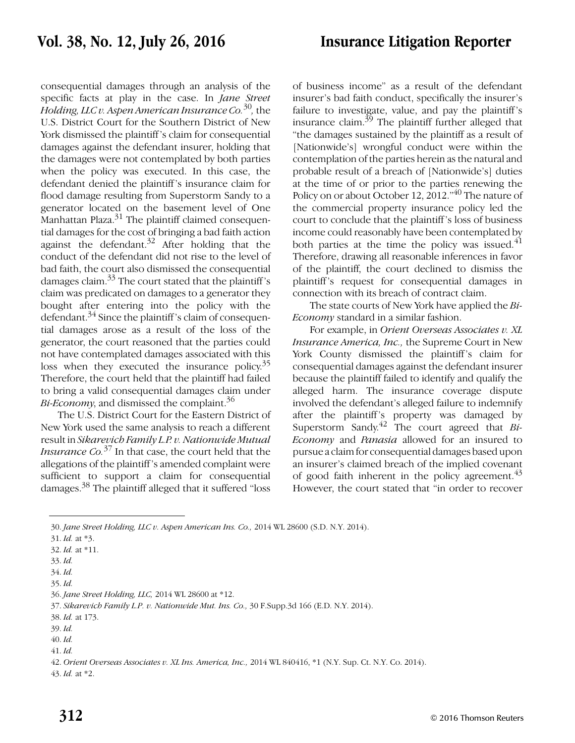consequential damages through an analysis of the specific facts at play in the case. In *Jane Street Holding, LLC v. Aspen American Insurance Co.*30*,* the U.S. District Court for the Southern District of New York dismissed the plaintiff 's claim for consequential damages against the defendant insurer, holding that the damages were not contemplated by both parties when the policy was executed. In this case, the defendant denied the plaintiff 's insurance claim for flood damage resulting from Superstorm Sandy to a generator located on the basement level of One Manhattan Plaza. $31$  The plaintiff claimed consequential damages for the cost of bringing a bad faith action against the defendant. $3^2$  After holding that the conduct of the defendant did not rise to the level of bad faith, the court also dismissed the consequential damages claim.33 The court stated that the plaintiff 's claim was predicated on damages to a generator they bought after entering into the policy with the defendant. $34$  Since the plaintiff's claim of consequential damages arose as a result of the loss of the generator, the court reasoned that the parties could not have contemplated damages associated with this loss when they executed the insurance policy. $35$ Therefore, the court held that the plaintiff had failed to bring a valid consequential damages claim under *Bi-Economy*, and dismissed the complaint.<sup>36</sup>

The U.S. District Court for the Eastern District of New York used the same analysis to reach a different result in *Sikarevich Family L.P. v. Nationwide Mutual Insurance Co.*<sup>37</sup> In that case, the court held that the allegations of the plaintiff 's amended complaint were sufficient to support a claim for consequential damages.38 The plaintiff alleged that it suffered "loss of business income" as a result of the defendant insurer's bad faith conduct, specifically the insurer's failure to investigate, value, and pay the plaintiff 's insurance claim. $39$  The plaintiff further alleged that "the damages sustained by the plaintiff as a result of [Nationwide's] wrongful conduct were within the contemplation of the parties herein as the natural and probable result of a breach of [Nationwide's] duties at the time of or prior to the parties renewing the Policy on or about October 12, 2012."<sup>40</sup> The nature of the commercial property insurance policy led the court to conclude that the plaintiff 's loss of business income could reasonably have been contemplated by both parties at the time the policy was issued. $^{41}$ Therefore, drawing all reasonable inferences in favor of the plaintiff, the court declined to dismiss the plaintiff 's request for consequential damages in connection with its breach of contract claim.

The state courts of New York have applied the *Bi-Economy* standard in a similar fashion.

For example, in *Orient Overseas Associates v. XL Insurance America, Inc.,* the Supreme Court in New York County dismissed the plaintiff's claim for consequential damages against the defendant insurer because the plaintiff failed to identify and qualify the alleged harm. The insurance coverage dispute involved the defendant's alleged failure to indemnify after the plaintiff 's property was damaged by Superstorm Sandy.42 The court agreed that *Bi-Economy* and *Panasia* allowed for an insured to pursue a claim for consequential damages based upon an insurer's claimed breach of the implied covenant of good faith inherent in the policy agreement. $43$ However, the court stated that "in order to recover

43. *Id.* at \*2.

<sup>30.</sup> *Jane Street Holding, LLC v. Aspen American Ins. Co.,* 2014 WL 28600 (S.D. N.Y. 2014).

<sup>31.</sup> *Id.* at \*3.

<sup>32.</sup> *Id.* at \*11.

<sup>33.</sup> *Id.*

<sup>34.</sup> *Id.* 

<sup>35.</sup> *Id.* 

<sup>36.</sup> *Jane Street Holding, LLC,* 2014 WL 28600 at \*12.

<sup>37.</sup> *Sikarevich Family L.P. v. Nationwide Mut. Ins. Co.,* 30 F.Supp.3d 166 (E.D. N.Y. 2014).

<sup>38.</sup> *Id.* at 173.

<sup>39.</sup> *Id.*

<sup>40.</sup> *Id.*

<sup>41.</sup> *Id.* 

<sup>42.</sup> *Orient Overseas Associates v. XL Ins. America, Inc.,* 2014 WL 840416, \*1 (N.Y. Sup. Ct. N.Y. Co. 2014).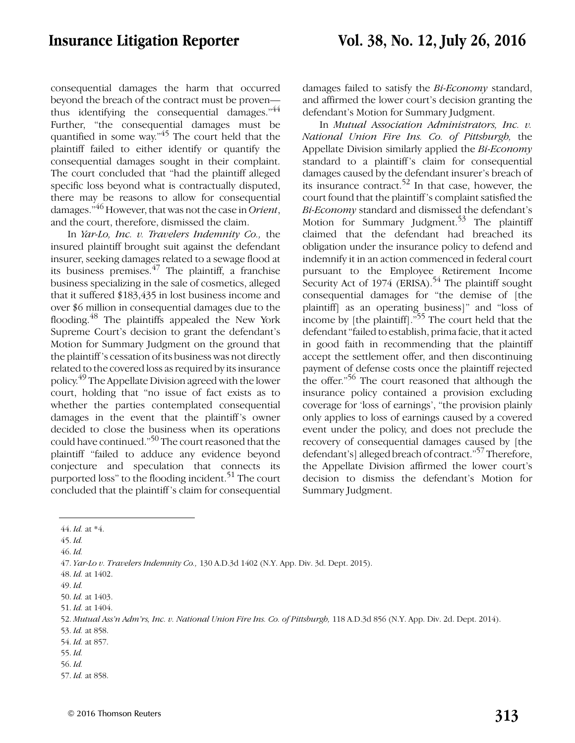consequential damages the harm that occurred beyond the breach of the contract must be proven thus identifying the consequential damages."<sup>44</sup> Further, "the consequential damages must be quantified in some way."45 The court held that the plaintiff failed to either identify or quantify the consequential damages sought in their complaint. The court concluded that "had the plaintiff alleged specific loss beyond what is contractually disputed, there may be reasons to allow for consequential damages."46 However, that was not the case in *Orient*, and the court, therefore, dismissed the claim.

In *Yar-Lo, Inc. v. Travelers Indemnity Co.,* the insured plaintiff brought suit against the defendant insurer, seeking damages related to a sewage flood at its business premises.<sup>47</sup> The plaintiff, a franchise business specializing in the sale of cosmetics, alleged that it suffered \$183,435 in lost business income and over \$6 million in consequential damages due to the flooding.<sup>48</sup> The plaintiffs appealed the New York Supreme Court's decision to grant the defendant's Motion for Summary Judgment on the ground that the plaintiff 's cessation of its business was not directly related to the covered loss as required by its insurance policy.49 The Appellate Division agreed with the lower court, holding that "no issue of fact exists as to whether the parties contemplated consequential damages in the event that the plaintiff 's owner decided to close the business when its operations could have continued."50 The court reasoned that the plaintiff "failed to adduce any evidence beyond conjecture and speculation that connects its purported loss" to the flooding incident.<sup>51</sup> The court concluded that the plaintiff 's claim for consequential damages failed to satisfy the *Bi-Economy* standard, and affirmed the lower court's decision granting the defendant's Motion for Summary Judgment.

In *Mutual Association Administrators, Inc. v. National Union Fire Ins. Co. of Pittsburgh,* the Appellate Division similarly applied the *Bi-Economy* standard to a plaintiff 's claim for consequential damages caused by the defendant insurer's breach of its insurance contract.<sup>52</sup> In that case, however, the court found that the plaintiff 's complaint satisfied the *Bi-Economy* standard and dismissed the defendant's Motion for Summary Judgment.<sup>53</sup> The plaintiff claimed that the defendant had breached its obligation under the insurance policy to defend and indemnify it in an action commenced in federal court pursuant to the Employee Retirement Income Security Act of 1974 (ERISA).<sup>54</sup> The plaintiff sought consequential damages for "the demise of [the plaintiff] as an operating business]" and "loss of income by [the plaintiff].<sup>"55</sup> The court held that the defendant "failed to establish, prima facie, that it acted in good faith in recommending that the plaintiff accept the settlement offer, and then discontinuing payment of defense costs once the plaintiff rejected the offer."56 The court reasoned that although the insurance policy contained a provision excluding coverage for 'loss of earnings', "the provision plainly only applies to loss of earnings caused by a covered event under the policy, and does not preclude the recovery of consequential damages caused by [the defendant's] alleged breach of contract."<sup>57</sup> Therefore, the Appellate Division affirmed the lower court's decision to dismiss the defendant's Motion for Summary Judgment.

<sup>44.</sup> *Id.* at \*4.

<sup>45.</sup> *Id.*

<sup>46.</sup> *Id.* 

<sup>47.</sup> *Yar-Lo v. Travelers Indemnity Co.,* 130 A.D.3d 1402 (N.Y. App. Div. 3d. Dept. 2015).

<sup>48.</sup> *Id.* at 1402.

<sup>49.</sup> *Id.*

<sup>50.</sup> *Id.* at 1403.

<sup>51.</sup> *Id.* at 1404.

<sup>52.</sup> *Mutual Ass'n Adm'rs, Inc. v. National Union Fire Ins. Co. of Pittsburgh,* 118 A.D.3d 856 (N.Y. App. Div. 2d. Dept. 2014).

<sup>53.</sup> *Id.* at 858.

<sup>54.</sup> *Id.* at 857.

<sup>56.</sup> *Id.*

<sup>57.</sup> *Id.* at 858.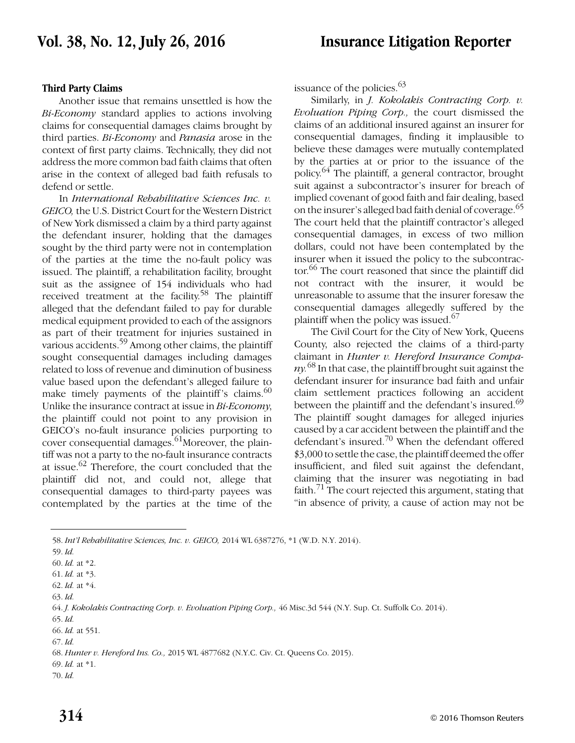### **Third Party Claims**

Another issue that remains unsettled is how the *Bi-Economy* standard applies to actions involving claims for consequential damages claims brought by third parties. *Bi-Economy* and *Panasia* arose in the context of first party claims. Technically, they did not address the more common bad faith claims that often arise in the context of alleged bad faith refusals to defend or settle.

In *International Rehabilitative Sciences Inc. v. GEICO,* the U.S. District Court for the Western District of New York dismissed a claim by a third party against the defendant insurer, holding that the damages sought by the third party were not in contemplation of the parties at the time the no-fault policy was issued. The plaintiff, a rehabilitation facility, brought suit as the assignee of 154 individuals who had received treatment at the facility.<sup>58</sup> The plaintiff alleged that the defendant failed to pay for durable medical equipment provided to each of the assignors as part of their treatment for injuries sustained in various accidents.<sup>59</sup> Among other claims, the plaintiff sought consequential damages including damages related to loss of revenue and diminution of business value based upon the defendant's alleged failure to make timely payments of the plaintiff's claims. $60$ Unlike the insurance contract at issue in *Bi-Economy*, the plaintiff could not point to any provision in GEICO's no-fault insurance policies purporting to cover consequential damages.<sup>61</sup>Moreover, the plaintiff was not a party to the no-fault insurance contracts at issue. $62$  Therefore, the court concluded that the plaintiff did not, and could not, allege that consequential damages to third-party payees was contemplated by the parties at the time of the issuance of the policies. $63$ 

Similarly, in *J. Kokolakis Contracting Corp. v. Evoluation Piping Corp.,* the court dismissed the claims of an additional insured against an insurer for consequential damages, finding it implausible to believe these damages were mutually contemplated by the parties at or prior to the issuance of the policy.64 The plaintiff, a general contractor, brought suit against a subcontractor's insurer for breach of implied covenant of good faith and fair dealing, based on the insurer's alleged bad faith denial of coverage.<sup>65</sup> The court held that the plaintiff contractor's alleged consequential damages, in excess of two million dollars, could not have been contemplated by the insurer when it issued the policy to the subcontractor.<sup>66</sup> The court reasoned that since the plaintiff did not contract with the insurer, it would be unreasonable to assume that the insurer foresaw the consequential damages allegedly suffered by the plaintiff when the policy was issued. $67$ 

The Civil Court for the City of New York, Queens County, also rejected the claims of a third-party claimant in *Hunter v. Hereford Insurance Compa* $nv^{68}$  In that case, the plaintiff brought suit against the defendant insurer for insurance bad faith and unfair claim settlement practices following an accident between the plaintiff and the defendant's insured.<sup>69</sup> The plaintiff sought damages for alleged injuries caused by a car accident between the plaintiff and the defendant's insured.70 When the defendant offered \$3,000 to settle the case, the plaintiff deemed the offer insufficient, and filed suit against the defendant, claiming that the insurer was negotiating in bad faith.<sup>71</sup> The court rejected this argument, stating that "in absence of privity, a cause of action may not be

<sup>58.</sup> *Int'l Rehabilitative Sciences, Inc. v. GEICO,* 2014 WL 6387276, \*1 (W.D. N.Y. 2014).

<sup>59.</sup> *Id.* 

<sup>60.</sup> *Id.* at \*2.

<sup>61.</sup> *Id.* at \*3.

<sup>62.</sup> *Id.* at \*4.

<sup>64.</sup> *J. Kokolakis Contracting Corp. v. Evoluation Piping Corp.,* 46 Misc.3d 544 (N.Y. Sup. Ct. Suffolk Co. 2014).

<sup>65.</sup> *Id.*

<sup>66.</sup> *Id.* at 551.

<sup>67.</sup> *Id.*

<sup>68.</sup> *Hunter v. Hereford Ins. Co.,* 2015 WL 4877682 (N.Y.C. Civ. Ct. Queens Co. 2015).

<sup>69.</sup> *Id.* at \*1.

<sup>70.</sup> *Id.*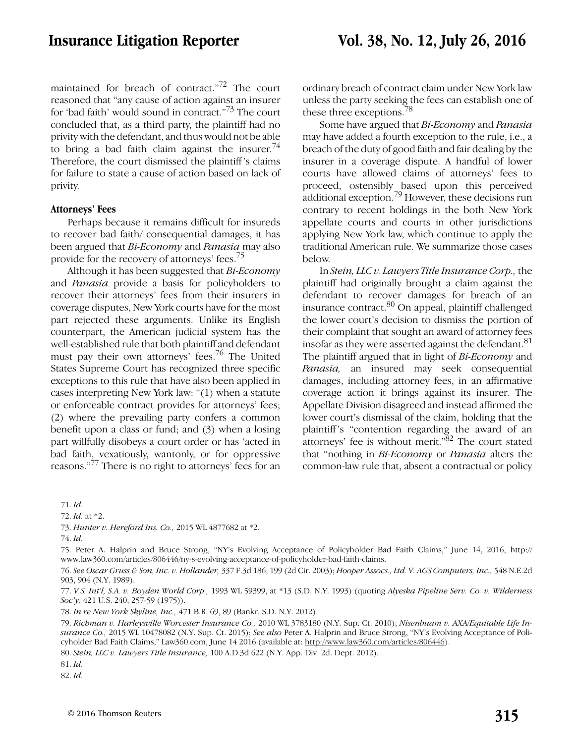maintained for breach of contract."<sup>72</sup> The court reasoned that "any cause of action against an insurer for 'bad faith' would sound in contract."73 The court concluded that, as a third party, the plaintiff had no privity with the defendant, and thus would not be able to bring a bad faith claim against the insurer.  $4^4$ Therefore, the court dismissed the plaintiff 's claims for failure to state a cause of action based on lack of privity.

### **Attorneys' Fees**

Perhaps because it remains difficult for insureds to recover bad faith/ consequential damages, it has been argued that *Bi-Economy* and *Panasia* may also provide for the recovery of attorneys' fees.<sup>75</sup>

Although it has been suggested that *Bi-Economy* and *Panasia* provide a basis for policyholders to recover their attorneys' fees from their insurers in coverage disputes, New York courts have for the most part rejected these arguments. Unlike its English counterpart, the American judicial system has the well-established rule that both plaintiff and defendant must pay their own attorneys' fees.<sup>76</sup> The United States Supreme Court has recognized three specific exceptions to this rule that have also been applied in cases interpreting New York law: "(1) when a statute or enforceable contract provides for attorneys' fees; (2) where the prevailing party confers a common benefit upon a class or fund; and (3) when a losing part willfully disobeys a court order or has 'acted in bad faith, vexatiously, wantonly, or for oppressive reasons." $\frac{1}{77}$  There is no right to attorneys' fees for an ordinary breach of contract claim under New York law unless the party seeking the fees can establish one of these three exceptions.<sup>78</sup>

Some have argued that *Bi-Economy* and *Panasia* may have added a fourth exception to the rule, i.e., a breach of the duty of good faith and fair dealing by the insurer in a coverage dispute. A handful of lower courts have allowed claims of attorneys' fees to proceed, ostensibly based upon this perceived additional exception.<sup>79</sup> However, these decisions run contrary to recent holdings in the both New York appellate courts and courts in other jurisdictions applying New York law, which continue to apply the traditional American rule. We summarize those cases below.

In *Stein, LLC v. Lawyers Title Insurance Corp.,* the plaintiff had originally brought a claim against the defendant to recover damages for breach of an insurance contract.80 On appeal, plaintiff challenged the lower court's decision to dismiss the portion of their complaint that sought an award of attorney fees insofar as they were asserted against the defendant.  $81$ The plaintiff argued that in light of *Bi-Economy* and *Panasia,* an insured may seek consequential damages, including attorney fees, in an affirmative coverage action it brings against its insurer. The Appellate Division disagreed and instead affirmed the lower court's dismissal of the claim, holding that the plaintiff 's "contention regarding the award of an attorneys' fee is without merit." $82$  The court stated that "nothing in *Bi-Economy* or *Panasia* alters the common-law rule that, absent a contractual or policy

71. *Id.*

72. *Id.* at \*2.

73. *Hunter v. Hereford Ins. Co.,* 2015 WL 4877682 at \*2.

74. *Id.*

75. Peter A. Halprin and Bruce Strong, "NY's Evolving Acceptance of Policyholder Bad Faith Claims," June 14, 2016, http:// www.law360.com/articles/806446/ny-s-evolving-acceptance-of-policyholder-bad-faith-claims.

76. *See Oscar Gruss & Son, Inc. v. Hollander,* 337 F.3d 186, 199 (2d Cir. 2003); *Hooper Assocs., Ltd. V. AGS Computers, Inc.,* 548 N.E.2d 903, 904 (N.Y. 1989).

77. *V.S. Int'l, S.A. v. Boyden World Corp.,* 1993 WL 59399, at \*13 (S.D. N.Y. 1993) (quoting *Alyeska Pipeline Serv. Co. v. Wilderness Soc'y,* 421 U.S. 240, 257-59 (1975)).

78. *In re New York Skyline, Inc.,* 471 B.R. 69, 89 (Bankr. S.D. N.Y. 2012).

79. *Richman v. Harleysville Worcester Insurance Co.,* 2010 WL 3783180 (N.Y. Sup. Ct. 2010); *Nisenbuam v. AXA/Equitable Life Insurance Co.,* 2015 WL 10478082 (N.Y. Sup. Ct. 2015); *See also* Peter A. Halprin and Bruce Strong, "NY's Evolving Acceptance of Policyholder Bad Faith Claims," Law360.com, June 14 2016 (available at: http://www.law360.com/articles/806446).

80. *Stein, LLC v. Lawyers Title Insurance,* 100 A.D.3d 622 (N.Y. App. Div. 2d. Dept. 2012).

81. *Id.*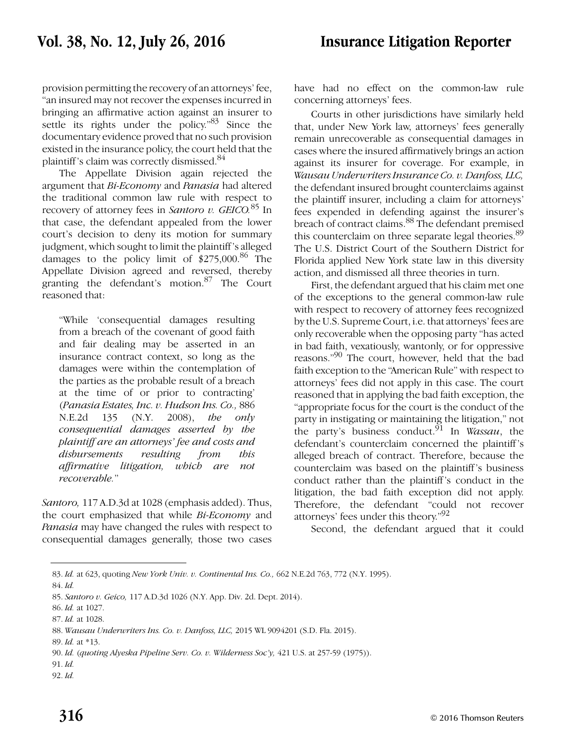provision permitting the recovery of an attorneys' fee, "an insured may not recover the expenses incurred in bringing an affirmative action against an insurer to settle its rights under the policy.<sup>83</sup> Since the documentary evidence proved that no such provision existed in the insurance policy, the court held that the plaintiff's claim was correctly dismissed.<sup>84</sup>

The Appellate Division again rejected the argument that *Bi-Economy* and *Panasia* had altered the traditional common law rule with respect to recovery of attorney fees in *Santoro v. GEICO.*<sup>85</sup> In that case, the defendant appealed from the lower court's decision to deny its motion for summary judgment, which sought to limit the plaintiff 's alleged damages to the policy limit of  $$275,000$ .<sup>86</sup> The Appellate Division agreed and reversed, thereby granting the defendant's motion.87 The Court reasoned that:

"While 'consequential damages resulting from a breach of the covenant of good faith and fair dealing may be asserted in an insurance contract context, so long as the damages were within the contemplation of the parties as the probable result of a breach at the time of or prior to contracting' (*Panasia Estates, Inc. v. Hudson Ins. Co.,* 886 N.E.2d 135 (N.Y. 2008), *the only consequential damages asserted by the plaintiff are an attorneys' fee and costs and disbursements resulting from this affirmative litigation, which are not recoverable.*"

*Santoro,* 117 A.D.3d at 1028 (emphasis added). Thus, the court emphasized that while *Bi-Economy* and *Panasia* may have changed the rules with respect to consequential damages generally, those two cases have had no effect on the common-law rule concerning attorneys' fees.

Courts in other jurisdictions have similarly held that, under New York law, attorneys' fees generally remain unrecoverable as consequential damages in cases where the insured affirmatively brings an action against its insurer for coverage. For example, in *Wausau Underwriters Insurance Co. v. Danfoss, LLC,* the defendant insured brought counterclaims against the plaintiff insurer, including a claim for attorneys' fees expended in defending against the insurer's breach of contract claims.88 The defendant premised this counterclaim on three separate legal theories.<sup>89</sup> The U.S. District Court of the Southern District for Florida applied New York state law in this diversity action, and dismissed all three theories in turn.

First, the defendant argued that his claim met one of the exceptions to the general common-law rule with respect to recovery of attorney fees recognized by the U.S. Supreme Court, i.e. that attorneys' fees are only recoverable when the opposing party "has acted in bad faith, vexatiously, wantonly, or for oppressive reasons."90 The court, however, held that the bad faith exception to the "American Rule" with respect to attorneys' fees did not apply in this case. The court reasoned that in applying the bad faith exception, the "appropriate focus for the court is the conduct of the party in instigating or maintaining the litigation," not the party's business conduct. <sup> $91$ </sup> In *Wassau*, the defendant's counterclaim concerned the plaintiff 's alleged breach of contract. Therefore, because the counterclaim was based on the plaintiff 's business conduct rather than the plaintiff 's conduct in the litigation, the bad faith exception did not apply. Therefore, the defendant "could not recover attorneys' fees under this theory."92

Second, the defendant argued that it could

<sup>83.</sup> *Id.* at 623, quoting *New York Univ. v. Continental Ins. Co.,* 662 N.E.2d 763, 772 (N.Y. 1995). 84. *Id.*

<sup>85.</sup> *Santoro v. Geico,* 117 A.D.3d 1026 (N.Y. App. Div. 2d. Dept. 2014).

<sup>86.</sup> *Id.* at 1027.

<sup>87.</sup> *Id.* at 1028.

<sup>88.</sup> *Wausau Underwriters Ins. Co. v. Danfoss, LLC,* 2015 WL 9094201 (S.D. Fla. 2015).

<sup>89.</sup> *Id.* at \*13.

<sup>90.</sup> *Id.* (*quoting Alyeska Pipeline Serv. Co. v. Wilderness Soc'y,* 421 U.S. at 257-59 (1975)).

<sup>91.</sup> *Id.*

<sup>92.</sup> *Id.*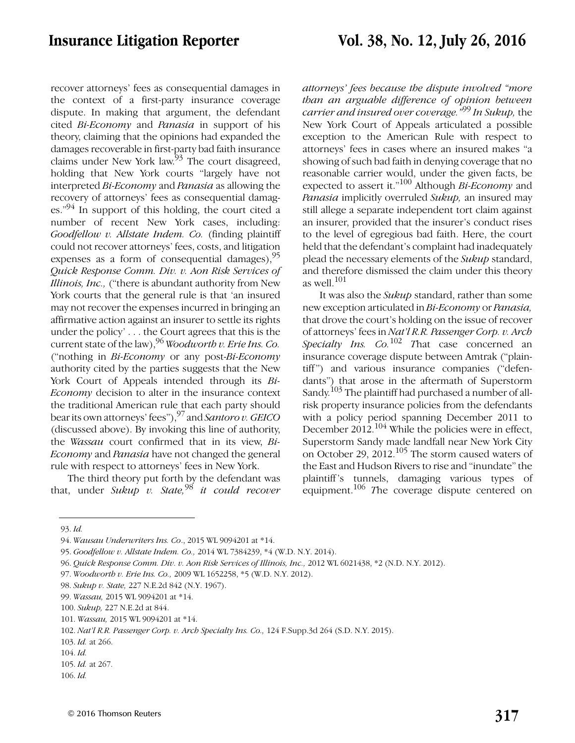recover attorneys' fees as consequential damages in the context of a first-party insurance coverage dispute. In making that argument, the defendant cited *Bi-Economy* and *Panasia* in support of his theory, claiming that the opinions had expanded the damages recoverable in first-party bad faith insurance claims under New York law. $93$  The court disagreed, holding that New York courts "largely have not interpreted *Bi-Economy* and *Panasia* as allowing the recovery of attorneys' fees as consequential damages."<sup>94</sup> In support of this holding, the court cited a number of recent New York cases, including: *Goodfellow v. Allstate Indem. Co.* (finding plaintiff could not recover attorneys' fees, costs, and litigation expenses as a form of consequential damages),  $95$ *Quick Response Comm. Div. v. Aon Risk Services of Illinois, Inc.,* ("there is abundant authority from New York courts that the general rule is that 'an insured may not recover the expenses incurred in bringing an affirmative action against an insurer to settle its rights under the policy' . . . the Court agrees that this is the current state of the law),96 *Woodworth v. Erie Ins. Co.* ("nothing in *Bi-Economy* or any post-*Bi-Economy* authority cited by the parties suggests that the New York Court of Appeals intended through its *Bi*-*Economy* decision to alter in the insurance context the traditional American rule that each party should bear its own attorneys' fees"),97 and *Santoro v. GEICO* (discussed above). By invoking this line of authority, the *Wassau* court confirmed that in its view, *Bi-Economy* and *Panasia* have not changed the general rule with respect to attorneys' fees in New York.

The third theory put forth by the defendant was that, under *Sukup v. State,*98 *it could recover* *attorneys' fees because the dispute involved "more than an arguable difference of opinion between carrier and insured over coverage."*99 *In Sukup,* the New York Court of Appeals articulated a possible exception to the American Rule with respect to attorneys' fees in cases where an insured makes "a showing of such bad faith in denying coverage that no reasonable carrier would, under the given facts, be expected to assert it."100 Although *Bi-Economy* and *Panasia* implicitly overruled *Sukup,* an insured may still allege a separate independent tort claim against an insurer, provided that the insurer's conduct rises to the level of egregious bad faith. Here, the court held that the defendant's complaint had inadequately plead the necessary elements of the *Sukup* standard, and therefore dismissed the claim under this theory as well.<sup>101</sup>

It was also the *Sukup* standard, rather than some new exception articulated in *Bi-Economy* or *Panasia,* that drove the court's holding on the issue of recover of attorneys' fees in *Nat'l R.R. Passenger Corp. v. Arch Specialty Ins. Co.*102 *T*hat case concerned an insurance coverage dispute between Amtrak ("plaintiff") and various insurance companies ("defendants") that arose in the aftermath of Superstorm Sandy.<sup>103</sup> The plaintiff had purchased a number of allrisk property insurance policies from the defendants with a policy period spanning December 2011 to December  $2012$ .<sup>104</sup> While the policies were in effect, Superstorm Sandy made landfall near New York City on October 29, 2012.105 The storm caused waters of the East and Hudson Rivers to rise and "inundate" the plaintiff 's tunnels, damaging various types of equipment.<sup>106</sup> The coverage dispute centered on

<sup>93.</sup> *Id.* 

<sup>94.</sup> *Wausau Underwriters Ins. Co*., 2015 WL 9094201 at \*14.

<sup>95.</sup> *Goodfellow v. Allstate Indem. Co.,* 2014 WL 7384239, \*4 (W.D. N.Y. 2014).

<sup>96.</sup> *Quick Response Comm. Div. v. Aon Risk Services of Illinois, Inc.,* 2012 WL 6021438, \*2 (N.D. N.Y. 2012).

<sup>97.</sup> *Woodworth v. Erie Ins. Co.,* 2009 WL 1652258, \*5 (W.D. N.Y. 2012).

<sup>98.</sup> *Sukup v. State,* 227 N.E.2d 842 (N.Y. 1967).

<sup>99.</sup> *Wassau,* 2015 WL 9094201 at \*14.

<sup>100.</sup> *Sukup,* 227 N.E.2d at 844.

<sup>101.</sup> *Wassau,* 2015 WL 9094201 at \*14.

<sup>102.</sup> *Nat'l R.R. Passenger Corp. v. Arch Specialty Ins. Co.,* 124 F.Supp.3d 264 (S.D. N.Y. 2015).

<sup>103.</sup> *Id.* at 266.

<sup>104.</sup> *Id.*

<sup>105.</sup> *Id.* at 267.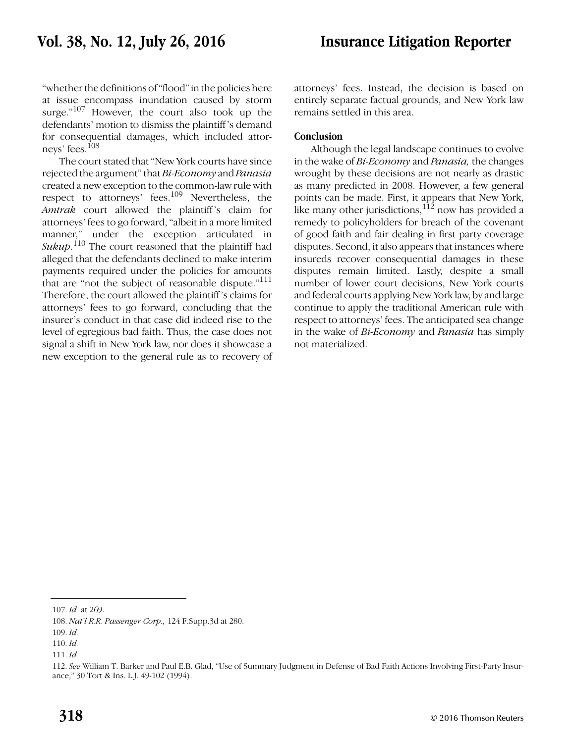## **Vol. 38, No. 12, July 26, 2016 Insurance Litigation Reporter**

"whether the definitions of "flood" in the policies here at issue encompass inundation caused by storm surge."<sup>107</sup> However, the court also took up the defendants' motion to dismiss the plaintiff 's demand for consequential damages, which included attorneys' fees.<sup>108</sup>

The court stated that "New York courts have since rejected the argument" that *Bi-Economy* and *Panasia* created a new exception to the common-law rule with respect to attorneys' fees.<sup>109</sup> Nevertheless, the *Amtrak* court allowed the plaintiff's claim for attorneys' fees to go forward, "albeit in a more limited manner," under the exception articulated in *Sukup*. 110 The court reasoned that the plaintiff had alleged that the defendants declined to make interim payments required under the policies for amounts that are "not the subject of reasonable dispute."<sup>111</sup> Therefore, the court allowed the plaintiff 's claims for attorneys' fees to go forward, concluding that the insurer's conduct in that case did indeed rise to the level of egregious bad faith. Thus, the case does not signal a shift in New York law, nor does it showcase a new exception to the general rule as to recovery of attorneys' fees. Instead, the decision is based on entirely separate factual grounds, and New York law remains settled in this area.

### **Conclusion**

Although the legal landscape continues to evolve in the wake of *Bi-Economy* and *Panasia,* the changes wrought by these decisions are not nearly as drastic as many predicted in 2008. However, a few general points can be made. First, it appears that New York, like many other jurisdictions, $112$  now has provided a remedy to policyholders for breach of the covenant of good faith and fair dealing in first party coverage disputes. Second, it also appears that instances where insureds recover consequential damages in these disputes remain limited. Lastly, despite a small number of lower court decisions, New York courts and federal courts applying New York law, by and large continue to apply the traditional American rule with respect to attorneys' fees. The anticipated sea change in the wake of *Bi-Economy* and *Panasia* has simply not materialized.

<sup>107.</sup> *Id.* at 269.

<sup>108.</sup> *Nat'l R.R. Passenger Corp.,* 124 F.Supp.3d at 280.

<sup>109.</sup> *Id.* 

<sup>110.</sup> *Id.* 

<sup>111.</sup> *Id.*

<sup>112.</sup> *See* William T. Barker and Paul E.B. Glad, "Use of Summary Judgment in Defense of Bad Faith Actions Involving First-Party Insurance," 30 Tort & Ins. L.J. 49-102 (1994).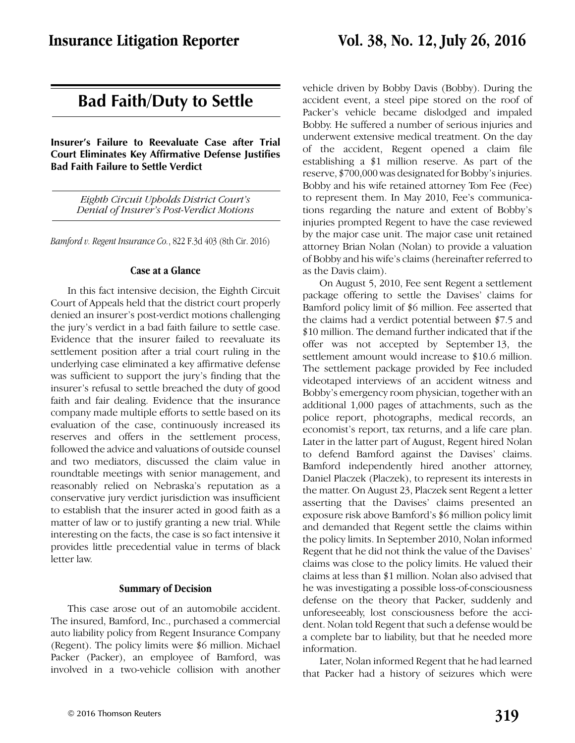# **Bad Faith/Duty to Settle**

**Insurer's Failure to Reevaluate Case after Trial Court Eliminates Key Affirmative Defense Justifies Bad Faith Failure to Settle Verdict**

> *Eighth Circuit Upholds District Court's Denial of Insurer's Post-Verdict Motions*

*Bamford v. Regent Insurance Co.*, 822 F.3d 403 (8th Cir. 2016)

### **Case at a Glance**

In this fact intensive decision, the Eighth Circuit Court of Appeals held that the district court properly denied an insurer's post-verdict motions challenging the jury's verdict in a bad faith failure to settle case. Evidence that the insurer failed to reevaluate its settlement position after a trial court ruling in the underlying case eliminated a key affirmative defense was sufficient to support the jury's finding that the insurer's refusal to settle breached the duty of good faith and fair dealing. Evidence that the insurance company made multiple efforts to settle based on its evaluation of the case, continuously increased its reserves and offers in the settlement process, followed the advice and valuations of outside counsel and two mediators, discussed the claim value in roundtable meetings with senior management, and reasonably relied on Nebraska's reputation as a conservative jury verdict jurisdiction was insufficient to establish that the insurer acted in good faith as a matter of law or to justify granting a new trial. While interesting on the facts, the case is so fact intensive it provides little precedential value in terms of black letter law.

### **Summary of Decision**

This case arose out of an automobile accident. The insured, Bamford, Inc., purchased a commercial auto liability policy from Regent Insurance Company (Regent). The policy limits were \$6 million. Michael Packer (Packer), an employee of Bamford, was involved in a two-vehicle collision with another vehicle driven by Bobby Davis (Bobby). During the accident event, a steel pipe stored on the roof of Packer's vehicle became dislodged and impaled Bobby. He suffered a number of serious injuries and underwent extensive medical treatment. On the day of the accident, Regent opened a claim file establishing a \$1 million reserve. As part of the reserve, \$700,000 was designated for Bobby's injuries. Bobby and his wife retained attorney Tom Fee (Fee) to represent them. In May 2010, Fee's communications regarding the nature and extent of Bobby's injuries prompted Regent to have the case reviewed by the major case unit. The major case unit retained attorney Brian Nolan (Nolan) to provide a valuation of Bobby and his wife's claims (hereinafter referred to as the Davis claim).

On August 5, 2010, Fee sent Regent a settlement package offering to settle the Davises' claims for Bamford policy limit of \$6 million. Fee asserted that the claims had a verdict potential between \$7.5 and \$10 million. The demand further indicated that if the offer was not accepted by September 13, the settlement amount would increase to \$10.6 million. The settlement package provided by Fee included videotaped interviews of an accident witness and Bobby's emergency room physician, together with an additional 1,000 pages of attachments, such as the police report, photographs, medical records, an economist's report, tax returns, and a life care plan. Later in the latter part of August, Regent hired Nolan to defend Bamford against the Davises' claims. Bamford independently hired another attorney, Daniel Placzek (Placzek), to represent its interests in the matter. On August 23, Placzek sent Regent a letter asserting that the Davises' claims presented an exposure risk above Bamford's \$6 million policy limit and demanded that Regent settle the claims within the policy limits. In September 2010, Nolan informed Regent that he did not think the value of the Davises' claims was close to the policy limits. He valued their claims at less than \$1 million. Nolan also advised that he was investigating a possible loss-of-consciousness defense on the theory that Packer, suddenly and unforeseeably, lost consciousness before the accident. Nolan told Regent that such a defense would be a complete bar to liability, but that he needed more information.

Later, Nolan informed Regent that he had learned that Packer had a history of seizures which were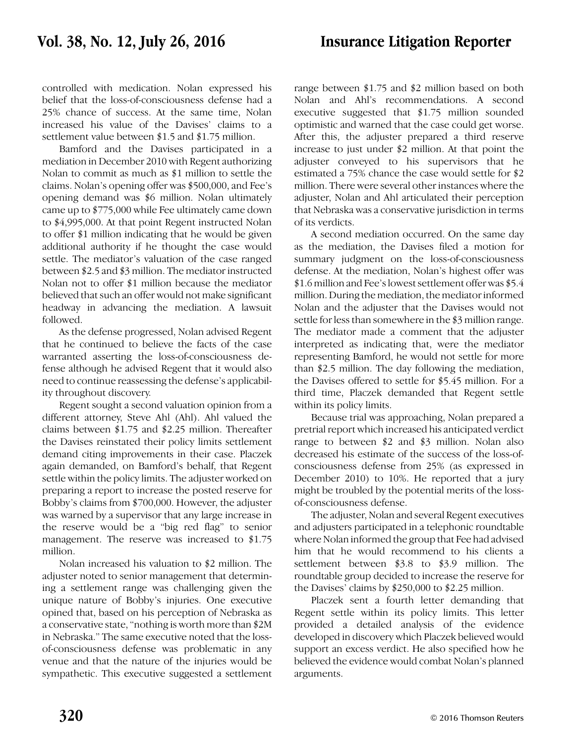controlled with medication. Nolan expressed his belief that the loss-of-consciousness defense had a 25% chance of success. At the same time, Nolan increased his value of the Davises' claims to a settlement value between \$1.5 and \$1.75 million.

Bamford and the Davises participated in a mediation in December 2010 with Regent authorizing Nolan to commit as much as \$1 million to settle the claims. Nolan's opening offer was \$500,000, and Fee's opening demand was \$6 million. Nolan ultimately came up to \$775,000 while Fee ultimately came down to \$4,995,000. At that point Regent instructed Nolan to offer \$1 million indicating that he would be given additional authority if he thought the case would settle. The mediator's valuation of the case ranged between \$2.5 and \$3 million. The mediator instructed Nolan not to offer \$1 million because the mediator believed that such an offer would not make significant headway in advancing the mediation. A lawsuit followed.

As the defense progressed, Nolan advised Regent that he continued to believe the facts of the case warranted asserting the loss-of-consciousness defense although he advised Regent that it would also need to continue reassessing the defense's applicability throughout discovery.

Regent sought a second valuation opinion from a different attorney, Steve Ahl (Ahl). Ahl valued the claims between \$1.75 and \$2.25 million. Thereafter the Davises reinstated their policy limits settlement demand citing improvements in their case. Placzek again demanded, on Bamford's behalf, that Regent settle within the policy limits. The adjuster worked on preparing a report to increase the posted reserve for Bobby's claims from \$700,000. However, the adjuster was warned by a supervisor that any large increase in the reserve would be a "big red flag" to senior management. The reserve was increased to \$1.75 million.

Nolan increased his valuation to \$2 million. The adjuster noted to senior management that determining a settlement range was challenging given the unique nature of Bobby's injuries. One executive opined that, based on his perception of Nebraska as a conservative state, "nothing is worth more than \$2M in Nebraska." The same executive noted that the lossof-consciousness defense was problematic in any venue and that the nature of the injuries would be sympathetic. This executive suggested a settlement range between \$1.75 and \$2 million based on both Nolan and Ahl's recommendations. A second executive suggested that \$1.75 million sounded optimistic and warned that the case could get worse. After this, the adjuster prepared a third reserve increase to just under \$2 million. At that point the adjuster conveyed to his supervisors that he estimated a 75% chance the case would settle for \$2 million. There were several other instances where the adjuster, Nolan and Ahl articulated their perception that Nebraska was a conservative jurisdiction in terms of its verdicts.

A second mediation occurred. On the same day as the mediation, the Davises filed a motion for summary judgment on the loss-of-consciousness defense. At the mediation, Nolan's highest offer was \$1.6 million and Fee's lowest settlement offer was \$5.4 million. During the mediation, the mediator informed Nolan and the adjuster that the Davises would not settle for less than somewhere in the \$3 million range. The mediator made a comment that the adjuster interpreted as indicating that, were the mediator representing Bamford, he would not settle for more than \$2.5 million. The day following the mediation, the Davises offered to settle for \$5.45 million. For a third time, Placzek demanded that Regent settle within its policy limits.

Because trial was approaching, Nolan prepared a pretrial report which increased his anticipated verdict range to between \$2 and \$3 million. Nolan also decreased his estimate of the success of the loss-ofconsciousness defense from 25% (as expressed in December 2010) to 10%. He reported that a jury might be troubled by the potential merits of the lossof-consciousness defense.

The adjuster, Nolan and several Regent executives and adjusters participated in a telephonic roundtable where Nolan informed the group that Fee had advised him that he would recommend to his clients a settlement between \$3.8 to \$3.9 million. The roundtable group decided to increase the reserve for the Davises' claims by \$250,000 to \$2.25 million.

Placzek sent a fourth letter demanding that Regent settle within its policy limits. This letter provided a detailed analysis of the evidence developed in discovery which Placzek believed would support an excess verdict. He also specified how he believed the evidence would combat Nolan's planned arguments.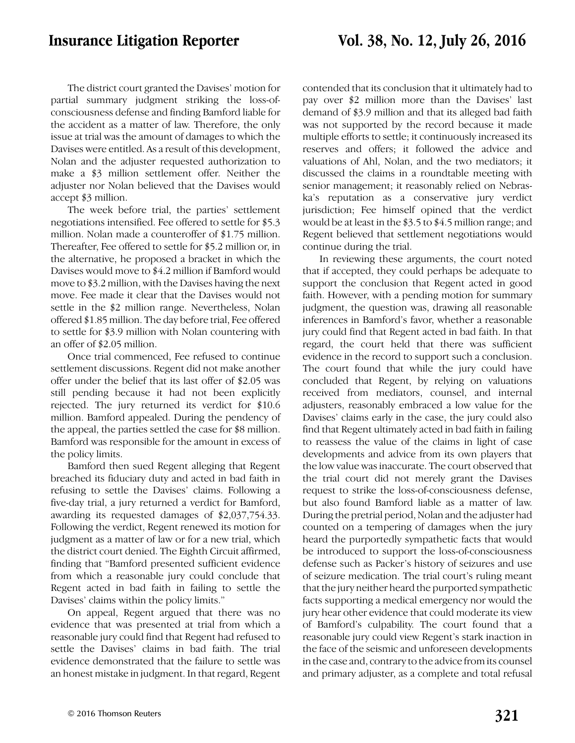The district court granted the Davises' motion for partial summary judgment striking the loss-ofconsciousness defense and finding Bamford liable for the accident as a matter of law. Therefore, the only issue at trial was the amount of damages to which the Davises were entitled. As a result of this development, Nolan and the adjuster requested authorization to make a \$3 million settlement offer. Neither the adjuster nor Nolan believed that the Davises would accept \$3 million.

The week before trial, the parties' settlement negotiations intensified. Fee offered to settle for \$5.3 million. Nolan made a counteroffer of \$1.75 million. Thereafter, Fee offered to settle for \$5.2 million or, in the alternative, he proposed a bracket in which the Davises would move to \$4.2 million if Bamford would move to \$3.2 million, with the Davises having the next move. Fee made it clear that the Davises would not settle in the \$2 million range. Nevertheless, Nolan offered \$1.85 million. The day before trial, Fee offered to settle for \$3.9 million with Nolan countering with an offer of \$2.05 million.

Once trial commenced, Fee refused to continue settlement discussions. Regent did not make another offer under the belief that its last offer of \$2.05 was still pending because it had not been explicitly rejected. The jury returned its verdict for \$10.6 million. Bamford appealed. During the pendency of the appeal, the parties settled the case for \$8 million. Bamford was responsible for the amount in excess of the policy limits.

Bamford then sued Regent alleging that Regent breached its fiduciary duty and acted in bad faith in refusing to settle the Davises' claims. Following a five-day trial, a jury returned a verdict for Bamford, awarding its requested damages of \$2,037,754.33. Following the verdict, Regent renewed its motion for judgment as a matter of law or for a new trial, which the district court denied. The Eighth Circuit affirmed, finding that "Bamford presented sufficient evidence from which a reasonable jury could conclude that Regent acted in bad faith in failing to settle the Davises' claims within the policy limits."

On appeal, Regent argued that there was no evidence that was presented at trial from which a reasonable jury could find that Regent had refused to settle the Davises' claims in bad faith. The trial evidence demonstrated that the failure to settle was an honest mistake in judgment. In that regard, Regent

contended that its conclusion that it ultimately had to pay over \$2 million more than the Davises' last demand of \$3.9 million and that its alleged bad faith was not supported by the record because it made multiple efforts to settle; it continuously increased its reserves and offers; it followed the advice and valuations of Ahl, Nolan, and the two mediators; it discussed the claims in a roundtable meeting with senior management; it reasonably relied on Nebraska's reputation as a conservative jury verdict jurisdiction; Fee himself opined that the verdict would be at least in the \$3.5 to \$4.5 million range; and Regent believed that settlement negotiations would continue during the trial.

In reviewing these arguments, the court noted that if accepted, they could perhaps be adequate to support the conclusion that Regent acted in good faith. However, with a pending motion for summary judgment, the question was, drawing all reasonable inferences in Bamford's favor, whether a reasonable jury could find that Regent acted in bad faith. In that regard, the court held that there was sufficient evidence in the record to support such a conclusion. The court found that while the jury could have concluded that Regent, by relying on valuations received from mediators, counsel, and internal adjusters, reasonably embraced a low value for the Davises' claims early in the case, the jury could also find that Regent ultimately acted in bad faith in failing to reassess the value of the claims in light of case developments and advice from its own players that the low value was inaccurate. The court observed that the trial court did not merely grant the Davises request to strike the loss-of-consciousness defense, but also found Bamford liable as a matter of law. During the pretrial period, Nolan and the adjuster had counted on a tempering of damages when the jury heard the purportedly sympathetic facts that would be introduced to support the loss-of-consciousness defense such as Packer's history of seizures and use of seizure medication. The trial court's ruling meant that the jury neither heard the purported sympathetic facts supporting a medical emergency nor would the jury hear other evidence that could moderate its view of Bamford's culpability. The court found that a reasonable jury could view Regent's stark inaction in the face of the seismic and unforeseen developments in the case and, contrary to the advice from its counsel and primary adjuster, as a complete and total refusal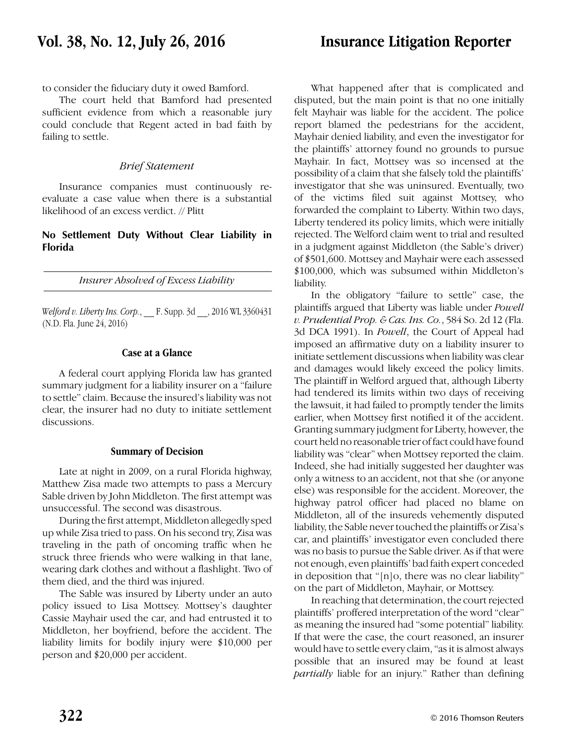to consider the fiduciary duty it owed Bamford.

The court held that Bamford had presented sufficient evidence from which a reasonable jury could conclude that Regent acted in bad faith by failing to settle.

### *Brief Statement*

Insurance companies must continuously reevaluate a case value when there is a substantial likelihood of an excess verdict. // Plitt

### **No Settlement Duty Without Clear Liability in Florida**

*Insurer Absolved of Excess Liability*

*Welford v. Liberty Ins. Corp.*, \_\_ F. Supp. 3d \_\_, 2016 WL 3360431 (N.D. Fla. June 24, 2016)

### **Case at a Glance**

A federal court applying Florida law has granted summary judgment for a liability insurer on a "failure to settle" claim. Because the insured's liability was not clear, the insurer had no duty to initiate settlement discussions.

### **Summary of Decision**

Late at night in 2009, on a rural Florida highway, Matthew Zisa made two attempts to pass a Mercury Sable driven by John Middleton. The first attempt was unsuccessful. The second was disastrous.

During the first attempt, Middleton allegedly sped up while Zisa tried to pass. On his second try, Zisa was traveling in the path of oncoming traffic when he struck three friends who were walking in that lane, wearing dark clothes and without a flashlight. Two of them died, and the third was injured.

The Sable was insured by Liberty under an auto policy issued to Lisa Mottsey. Mottsey's daughter Cassie Mayhair used the car, and had entrusted it to Middleton, her boyfriend, before the accident. The liability limits for bodily injury were \$10,000 per person and \$20,000 per accident.

What happened after that is complicated and disputed, but the main point is that no one initially felt Mayhair was liable for the accident. The police report blamed the pedestrians for the accident, Mayhair denied liability, and even the investigator for the plaintiffs' attorney found no grounds to pursue Mayhair. In fact, Mottsey was so incensed at the possibility of a claim that she falsely told the plaintiffs' investigator that she was uninsured. Eventually, two of the victims filed suit against Mottsey, who forwarded the complaint to Liberty. Within two days, Liberty tendered its policy limits, which were initially rejected. The Welford claim went to trial and resulted in a judgment against Middleton (the Sable's driver) of \$501,600. Mottsey and Mayhair were each assessed \$100,000, which was subsumed within Middleton's liability.

In the obligatory "failure to settle" case, the plaintiffs argued that Liberty was liable under *Powell v. Prudential Prop. & Cas. Ins. Co.*, 584 So. 2d 12 (Fla. 3d DCA 1991). In *Powell*, the Court of Appeal had imposed an affirmative duty on a liability insurer to initiate settlement discussions when liability was clear and damages would likely exceed the policy limits. The plaintiff in Welford argued that, although Liberty had tendered its limits within two days of receiving the lawsuit, it had failed to promptly tender the limits earlier, when Mottsey first notified it of the accident. Granting summary judgment for Liberty, however, the court held no reasonable trier of fact could have found liability was "clear" when Mottsey reported the claim. Indeed, she had initially suggested her daughter was only a witness to an accident, not that she (or anyone else) was responsible for the accident. Moreover, the highway patrol officer had placed no blame on Middleton, all of the insureds vehemently disputed liability, the Sable never touched the plaintiffs or Zisa's car, and plaintiffs' investigator even concluded there was no basis to pursue the Sable driver. As if that were not enough, even plaintiffs' bad faith expert conceded in deposition that "[n]o, there was no clear liability" on the part of Middleton, Mayhair, or Mottsey.

In reaching that determination, the court rejected plaintiffs' proffered interpretation of the word "clear" as meaning the insured had "some potential" liability. If that were the case, the court reasoned, an insurer would have to settle every claim, "as it is almost always possible that an insured may be found at least *partially* liable for an injury." Rather than defining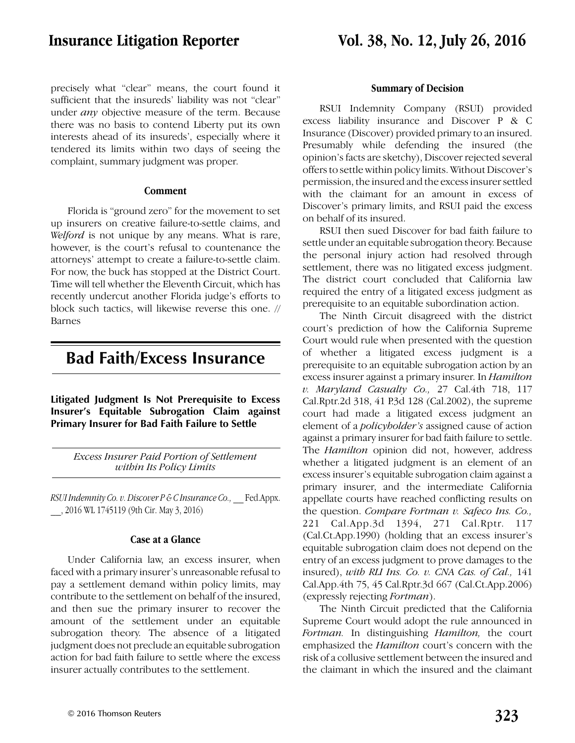precisely what "clear" means, the court found it sufficient that the insureds' liability was not "clear" under *any* objective measure of the term. Because there was no basis to contend Liberty put its own interests ahead of its insureds', especially where it tendered its limits within two days of seeing the complaint, summary judgment was proper.

### **Comment**

Florida is "ground zero" for the movement to set up insurers on creative failure-to-settle claims, and *Welford* is not unique by any means. What is rare, however, is the court's refusal to countenance the attorneys' attempt to create a failure-to-settle claim. For now, the buck has stopped at the District Court. Time will tell whether the Eleventh Circuit, which has recently undercut another Florida judge's efforts to block such tactics, will likewise reverse this one. // Barnes

# **Bad Faith/Excess Insurance**

**Litigated Judgment Is Not Prerequisite to Excess Insurer's Equitable Subrogation Claim against Primary Insurer for Bad Faith Failure to Settle**

*Excess Insurer Paid Portion of Settlement within Its Policy Limits*

*RSUI Indemnity Co. v. Discover P & C Insurance Co.,* \_\_ Fed.Appx. \_\_, 2016 WL 1745119 (9th Cir. May 3, 2016)

### **Case at a Glance**

Under California law, an excess insurer, when faced with a primary insurer's unreasonable refusal to pay a settlement demand within policy limits, may contribute to the settlement on behalf of the insured, and then sue the primary insurer to recover the amount of the settlement under an equitable subrogation theory. The absence of a litigated judgment does not preclude an equitable subrogation action for bad faith failure to settle where the excess insurer actually contributes to the settlement.

### **Summary of Decision**

RSUI Indemnity Company (RSUI) provided excess liability insurance and Discover P & C Insurance (Discover) provided primary to an insured. Presumably while defending the insured (the opinion's facts are sketchy), Discover rejected several offers to settle within policy limits. Without Discover's permission, the insured and the excess insurer settled with the claimant for an amount in excess of Discover's primary limits, and RSUI paid the excess on behalf of its insured.

RSUI then sued Discover for bad faith failure to settle under an equitable subrogation theory. Because the personal injury action had resolved through settlement, there was no litigated excess judgment. The district court concluded that California law required the entry of a litigated excess judgment as prerequisite to an equitable subordination action.

The Ninth Circuit disagreed with the district court's prediction of how the California Supreme Court would rule when presented with the question of whether a litigated excess judgment is a prerequisite to an equitable subrogation action by an excess insurer against a primary insurer. In *Hamilton v. Maryland Casualty Co.,* 27 Cal.4th 718, 117 Cal.Rptr.2d 318, 41 P.3d 128 (Cal.2002), the supreme court had made a litigated excess judgment an element of a *policyholder's* assigned cause of action against a primary insurer for bad faith failure to settle. The *Hamilton* opinion did not, however, address whether a litigated judgment is an element of an excess insurer's equitable subrogation claim against a primary insurer, and the intermediate California appellate courts have reached conflicting results on the question. *Compare Fortman v. Safeco Ins. Co.,* 221 Cal.App.3d 1394, 271 Cal.Rptr. 117 (Cal.Ct.App.1990) (holding that an excess insurer's equitable subrogation claim does not depend on the entry of an excess judgment to prove damages to the insured), *with RLI Ins. Co. v. CNA Cas. of Cal.,* 141 Cal.App.4th 75, 45 Cal.Rptr.3d 667 (Cal.Ct.App.2006) (expressly rejecting *Fortman*).

The Ninth Circuit predicted that the California Supreme Court would adopt the rule announced in *Fortman.* In distinguishing *Hamilton,* the court emphasized the *Hamilton* court's concern with the risk of a collusive settlement between the insured and the claimant in which the insured and the claimant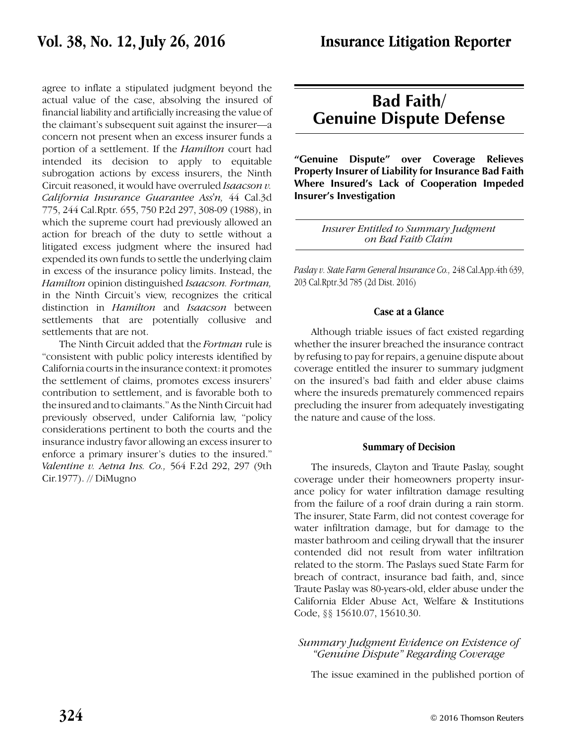## **Vol. 38, No. 12, July 26, 2016 Insurance Litigation Reporter**

agree to inflate a stipulated judgment beyond the actual value of the case, absolving the insured of financial liability and artificially increasing the value of the claimant's subsequent suit against the insurer—a concern not present when an excess insurer funds a portion of a settlement. If the *Hamilton* court had intended its decision to apply to equitable subrogation actions by excess insurers, the Ninth Circuit reasoned, it would have overruled *Isaacson v. California Insurance Guarantee Ass'n,* 44 Cal.3d 775, 244 Cal.Rptr. 655, 750 P.2d 297, 308-09 (1988), in which the supreme court had previously allowed an action for breach of the duty to settle without a litigated excess judgment where the insured had expended its own funds to settle the underlying claim in excess of the insurance policy limits. Instead, the *Hamilton* opinion distinguished *Isaacson. Fortman,* in the Ninth Circuit's view, recognizes the critical distinction in *Hamilton* and *Isaacson* between settlements that are potentially collusive and settlements that are not.

The Ninth Circuit added that the *Fortman* rule is "consistent with public policy interests identified by California courts in the insurance context: it promotes the settlement of claims, promotes excess insurers' contribution to settlement, and is favorable both to the insured and to claimants." As the Ninth Circuit had previously observed, under California law, "policy considerations pertinent to both the courts and the insurance industry favor allowing an excess insurer to enforce a primary insurer's duties to the insured." *Valentine v. Aetna Ins. Co.,* 564 F.2d 292, 297 (9th Cir.1977). // DiMugno

## **Bad Faith/ Genuine Dispute Defense**

**"Genuine Dispute" over Coverage Relieves Property Insurer of Liability for Insurance Bad Faith Where Insured's Lack of Cooperation Impeded Insurer's Investigation**

> *Insurer Entitled to Summary Judgment on Bad Faith Claim*

*Paslay v. State Farm General Insurance Co.,* 248 Cal.App.4th 639, 203 Cal.Rptr.3d 785 (2d Dist. 2016)

### **Case at a Glance**

Although triable issues of fact existed regarding whether the insurer breached the insurance contract by refusing to pay for repairs, a genuine dispute about coverage entitled the insurer to summary judgment on the insured's bad faith and elder abuse claims where the insureds prematurely commenced repairs precluding the insurer from adequately investigating the nature and cause of the loss.

### **Summary of Decision**

The insureds, Clayton and Traute Paslay, sought coverage under their homeowners property insurance policy for water infiltration damage resulting from the failure of a roof drain during a rain storm. The insurer, State Farm, did not contest coverage for water infiltration damage, but for damage to the master bathroom and ceiling drywall that the insurer contended did not result from water infiltration related to the storm. The Paslays sued State Farm for breach of contract, insurance bad faith, and, since Traute Paslay was 80-years-old, elder abuse under the California Elder Abuse Act, Welfare & Institutions Code, §§ 15610.07, 15610.30.

### *Summary Judgment Evidence on Existence of "Genuine Dispute" Regarding Coverage*

The issue examined in the published portion of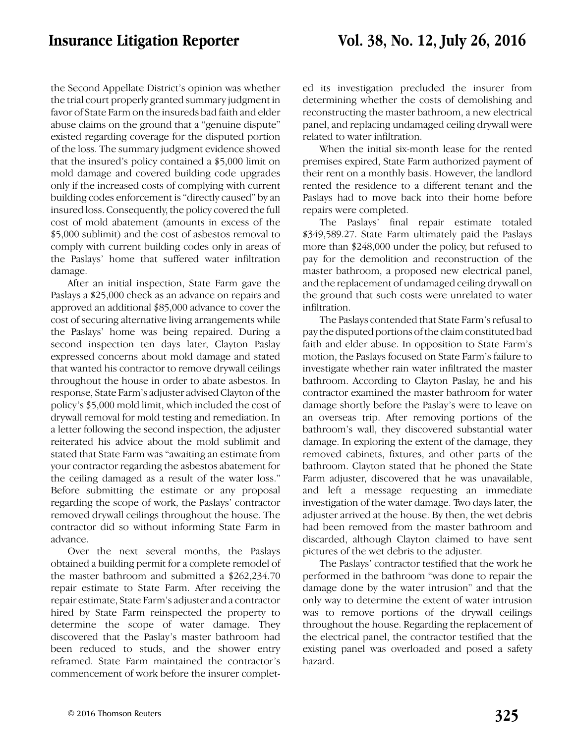the Second Appellate District's opinion was whether the trial court properly granted summary judgment in favor of State Farm on the insureds bad faith and elder abuse claims on the ground that a "genuine dispute" existed regarding coverage for the disputed portion of the loss. The summary judgment evidence showed that the insured's policy contained a \$5,000 limit on mold damage and covered building code upgrades only if the increased costs of complying with current building codes enforcement is "directly caused" by an insured loss. Consequently, the policy covered the full cost of mold abatement (amounts in excess of the \$5,000 sublimit) and the cost of asbestos removal to comply with current building codes only in areas of the Paslays' home that suffered water infiltration damage.

After an initial inspection, State Farm gave the Paslays a \$25,000 check as an advance on repairs and approved an additional \$85,000 advance to cover the cost of securing alternative living arrangements while the Paslays' home was being repaired. During a second inspection ten days later, Clayton Paslay expressed concerns about mold damage and stated that wanted his contractor to remove drywall ceilings throughout the house in order to abate asbestos. In response, State Farm's adjuster advised Clayton of the policy's \$5,000 mold limit, which included the cost of drywall removal for mold testing and remediation. In a letter following the second inspection, the adjuster reiterated his advice about the mold sublimit and stated that State Farm was "awaiting an estimate from your contractor regarding the asbestos abatement for the ceiling damaged as a result of the water loss." Before submitting the estimate or any proposal regarding the scope of work, the Paslays' contractor removed drywall ceilings throughout the house. The contractor did so without informing State Farm in advance.

Over the next several months, the Paslays obtained a building permit for a complete remodel of the master bathroom and submitted a \$262,234.70 repair estimate to State Farm. After receiving the repair estimate, State Farm's adjuster and a contractor hired by State Farm reinspected the property to determine the scope of water damage. They discovered that the Paslay's master bathroom had been reduced to studs, and the shower entry reframed. State Farm maintained the contractor's commencement of work before the insurer completed its investigation precluded the insurer from determining whether the costs of demolishing and reconstructing the master bathroom, a new electrical panel, and replacing undamaged ceiling drywall were related to water infiltration.

When the initial six-month lease for the rented premises expired, State Farm authorized payment of their rent on a monthly basis. However, the landlord rented the residence to a different tenant and the Paslays had to move back into their home before repairs were completed.

The Paslays' final repair estimate totaled \$349,589.27. State Farm ultimately paid the Paslays more than \$248,000 under the policy, but refused to pay for the demolition and reconstruction of the master bathroom, a proposed new electrical panel, and the replacement of undamaged ceiling drywall on the ground that such costs were unrelated to water infiltration.

The Paslays contended that State Farm's refusal to pay the disputed portions of the claim constituted bad faith and elder abuse. In opposition to State Farm's motion, the Paslays focused on State Farm's failure to investigate whether rain water infiltrated the master bathroom. According to Clayton Paslay, he and his contractor examined the master bathroom for water damage shortly before the Paslay's were to leave on an overseas trip. After removing portions of the bathroom's wall, they discovered substantial water damage. In exploring the extent of the damage, they removed cabinets, fixtures, and other parts of the bathroom. Clayton stated that he phoned the State Farm adjuster, discovered that he was unavailable, and left a message requesting an immediate investigation of the water damage. Two days later, the adjuster arrived at the house. By then, the wet debris had been removed from the master bathroom and discarded, although Clayton claimed to have sent pictures of the wet debris to the adjuster.

The Paslays' contractor testified that the work he performed in the bathroom "was done to repair the damage done by the water intrusion" and that the only way to determine the extent of water intrusion was to remove portions of the drywall ceilings throughout the house. Regarding the replacement of the electrical panel, the contractor testified that the existing panel was overloaded and posed a safety hazard.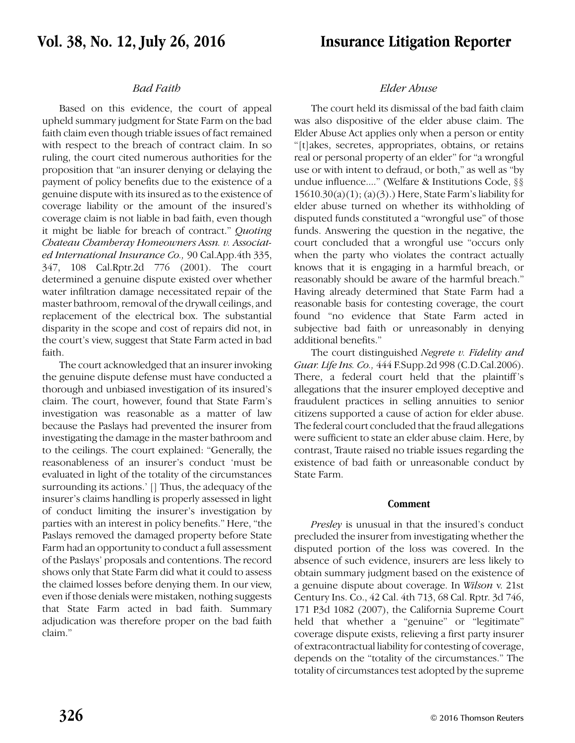### *Bad Faith*

Based on this evidence, the court of appeal upheld summary judgment for State Farm on the bad faith claim even though triable issues of fact remained with respect to the breach of contract claim. In so ruling, the court cited numerous authorities for the proposition that "an insurer denying or delaying the payment of policy benefits due to the existence of a genuine dispute with its insured as to the existence of coverage liability or the amount of the insured's coverage claim is not liable in bad faith, even though it might be liable for breach of contract." *Quoting Chateau Chamberay Homeowners Assn. v. Associated International Insurance Co.,* 90 Cal.App.4th 335, 347, 108 Cal.Rptr.2d 776 (2001). The court determined a genuine dispute existed over whether water infiltration damage necessitated repair of the master bathroom, removal of the drywall ceilings, and replacement of the electrical box. The substantial disparity in the scope and cost of repairs did not, in the court's view, suggest that State Farm acted in bad faith.

The court acknowledged that an insurer invoking the genuine dispute defense must have conducted a thorough and unbiased investigation of its insured's claim. The court, however, found that State Farm's investigation was reasonable as a matter of law because the Paslays had prevented the insurer from investigating the damage in the master bathroom and to the ceilings. The court explained: "Generally, the reasonableness of an insurer's conduct 'must be evaluated in light of the totality of the circumstances surrounding its actions.' [] Thus, the adequacy of the insurer's claims handling is properly assessed in light of conduct limiting the insurer's investigation by parties with an interest in policy benefits." Here, "the Paslays removed the damaged property before State Farm had an opportunity to conduct a full assessment of the Paslays' proposals and contentions. The record shows only that State Farm did what it could to assess the claimed losses before denying them. In our view, even if those denials were mistaken, nothing suggests that State Farm acted in bad faith. Summary adjudication was therefore proper on the bad faith claim."

### *Elder Abuse*

The court held its dismissal of the bad faith claim was also dispositive of the elder abuse claim. The Elder Abuse Act applies only when a person or entity "[t]akes, secretes, appropriates, obtains, or retains real or personal property of an elder" for "a wrongful use or with intent to defraud, or both," as well as "by undue influence...." (Welfare & Institutions Code, §§ 15610.30(a)(1); (a)(3).) Here, State Farm's liability for elder abuse turned on whether its withholding of disputed funds constituted a "wrongful use" of those funds. Answering the question in the negative, the court concluded that a wrongful use "occurs only when the party who violates the contract actually knows that it is engaging in a harmful breach, or reasonably should be aware of the harmful breach." Having already determined that State Farm had a reasonable basis for contesting coverage, the court found "no evidence that State Farm acted in subjective bad faith or unreasonably in denying additional benefits."

The court distinguished *Negrete v. Fidelity and Guar. Life Ins. Co.,* 444 F.Supp.2d 998 (C.D.Cal.2006). There, a federal court held that the plaintiff's allegations that the insurer employed deceptive and fraudulent practices in selling annuities to senior citizens supported a cause of action for elder abuse. The federal court concluded that the fraud allegations were sufficient to state an elder abuse claim. Here, by contrast, Traute raised no triable issues regarding the existence of bad faith or unreasonable conduct by State Farm.

#### **Comment**

*Presley* is unusual in that the insured's conduct precluded the insurer from investigating whether the disputed portion of the loss was covered. In the absence of such evidence, insurers are less likely to obtain summary judgment based on the existence of a genuine dispute about coverage. In *Wilson* v. 21st Century Ins. Co., 42 Cal. 4th 713, 68 Cal. Rptr. 3d 746, 171 P.3d 1082 (2007), the California Supreme Court held that whether a "genuine" or "legitimate" coverage dispute exists, relieving a first party insurer of extracontractual liability for contesting of coverage, depends on the "totality of the circumstances." The totality of circumstances test adopted by the supreme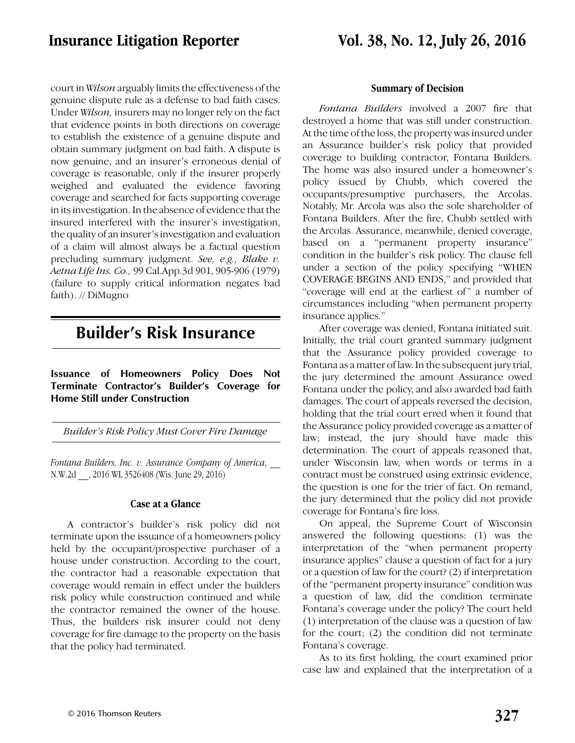court in *Wilson* arguably limits the effectiveness of the genuine dispute rule as a defense to bad faith cases. Under *Wilson,* insurers may no longer rely on the fact that evidence points in both directions on coverage to establish the existence of a genuine dispute and obtain summary judgment on bad faith. A dispute is now genuine, and an insurer's erroneous denial of coverage is reasonable, only if the insurer properly weighed and evaluated the evidence favoring coverage and searched for facts supporting coverage in its investigation. In the absence of evidence that the insured interfered with the insurer's investigation, the quality of an insurer's investigation and evaluation of a claim will almost always be a factual question precluding summary judgment. *See, e.g., Blake v. Aetna Life Ins. Co.,* 99 Cal.App.3d 901, 905-906 (1979) (failure to supply critical information negates bad faith). // DiMugno

# **Builder's Risk Insurance**

**Issuance of Homeowners Policy Does Not Terminate Contractor's Builder's Coverage for Home Still under Construction**

*Builder's Risk Policy Must Cover Fire Damage*

*Fontana Builders, Inc. v. Assurance Company of America*, \_\_ N.W.2d \_\_, 2016 WL 3526408 (Wis. June 29, 2016)

### **Case at a Glance**

A contractor's builder's risk policy did not terminate upon the issuance of a homeowners policy held by the occupant/prospective purchaser of a house under construction. According to the court, the contractor had a reasonable expectation that coverage would remain in effect under the builders risk policy while construction continued and while the contractor remained the owner of the house. Thus, the builders risk insurer could not deny coverage for fire damage to the property on the basis that the policy had terminated.

### **Summary of Decision**

*Fontana Builders* involved a 2007 fire that destroyed a home that was still under construction. At the time of the loss, the property was insured under an Assurance builder's risk policy that provided coverage to building contractor, Fontana Builders. The home was also insured under a homeowner's policy issued by Chubb, which covered the occupants/presumptive purchasers, the Arcolas. Notably, Mr. Arcola was also the sole shareholder of Fontana Builders. After the fire, Chubb settled with the Arcolas. Assurance, meanwhile, denied coverage, based on a "permanent property insurance" condition in the builder's risk policy. The clause fell under a section of the policy specifying "WHEN COVERAGE BEGINS AND ENDS," and provided that "coverage will end at the earliest of" a number of circumstances including "when permanent property insurance applies."

After coverage was denied, Fontana initiated suit. Initially, the trial court granted summary judgment that the Assurance policy provided coverage to Fontana as a matter of law. In the subsequent jury trial, the jury determined the amount Assurance owed Fontana under the policy, and also awarded bad faith damages. The court of appeals reversed the decision, holding that the trial court erred when it found that the Assurance policy provided coverage as a matter of law; instead, the jury should have made this determination. The court of appeals reasoned that, under Wisconsin law, when words or terms in a contract must be construed using extrinsic evidence, the question is one for the trier of fact. On remand, the jury determined that the policy did not provide coverage for Fontana's fire loss.

On appeal, the Supreme Court of Wisconsin answered the following questions: (1) was the interpretation of the "when permanent property insurance applies" clause a question of fact for a jury or a question of law for the court? (2) if interpretation of the "permanent property insurance" condition was a question of law, did the condition terminate Fontana's coverage under the policy? The court held (1) interpretation of the clause was a question of law for the court; (2) the condition did not terminate Fontana's coverage.

As to its first holding, the court examined prior case law and explained that the interpretation of a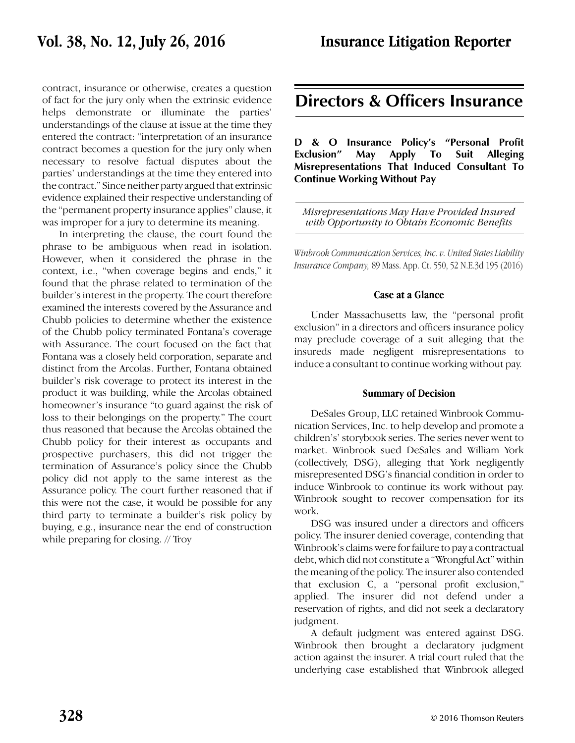contract, insurance or otherwise, creates a question of fact for the jury only when the extrinsic evidence helps demonstrate or illuminate the parties' understandings of the clause at issue at the time they entered the contract: "interpretation of an insurance contract becomes a question for the jury only when necessary to resolve factual disputes about the parties' understandings at the time they entered into the contract." Since neither party argued that extrinsic evidence explained their respective understanding of the "permanent property insurance applies" clause, it was improper for a jury to determine its meaning.

In interpreting the clause, the court found the phrase to be ambiguous when read in isolation. However, when it considered the phrase in the context, i.e., "when coverage begins and ends," it found that the phrase related to termination of the builder's interest in the property. The court therefore examined the interests covered by the Assurance and Chubb policies to determine whether the existence of the Chubb policy terminated Fontana's coverage with Assurance. The court focused on the fact that Fontana was a closely held corporation, separate and distinct from the Arcolas. Further, Fontana obtained builder's risk coverage to protect its interest in the product it was building, while the Arcolas obtained homeowner's insurance "to guard against the risk of loss to their belongings on the property." The court thus reasoned that because the Arcolas obtained the Chubb policy for their interest as occupants and prospective purchasers, this did not trigger the termination of Assurance's policy since the Chubb policy did not apply to the same interest as the Assurance policy. The court further reasoned that if this were not the case, it would be possible for any third party to terminate a builder's risk policy by buying, e.g., insurance near the end of construction while preparing for closing. // Troy

# **Directors & Officers Insurance**

**D & O Insurance Policy's "Personal Profit Exclusion" May Apply To Suit Alleging Misrepresentations That Induced Consultant To Continue Working Without Pay**

*Misrepresentations May Have Provided Insured with Opportunity to Obtain Economic Benefits*

*Winbrook Communication Services, Inc. v. United States Liability Insurance Company,* 89 Mass. App. Ct. 550, 52 N.E.3d 195 (2016)

### **Case at a Glance**

Under Massachusetts law, the "personal profit exclusion" in a directors and officers insurance policy may preclude coverage of a suit alleging that the insureds made negligent misrepresentations to induce a consultant to continue working without pay.

### **Summary of Decision**

DeSales Group, LLC retained Winbrook Communication Services, Inc. to help develop and promote a children's' storybook series. The series never went to market. Winbrook sued DeSales and William York (collectively, DSG), alleging that York negligently misrepresented DSG's financial condition in order to induce Winbrook to continue its work without pay. Winbrook sought to recover compensation for its work.

DSG was insured under a directors and officers policy. The insurer denied coverage, contending that Winbrook's claims were for failure to pay a contractual debt, which did not constitute a "Wrongful Act" within the meaning of the policy. The insurer also contended that exclusion C, a "personal profit exclusion," applied. The insurer did not defend under a reservation of rights, and did not seek a declaratory judgment.

A default judgment was entered against DSG. Winbrook then brought a declaratory judgment action against the insurer. A trial court ruled that the underlying case established that Winbrook alleged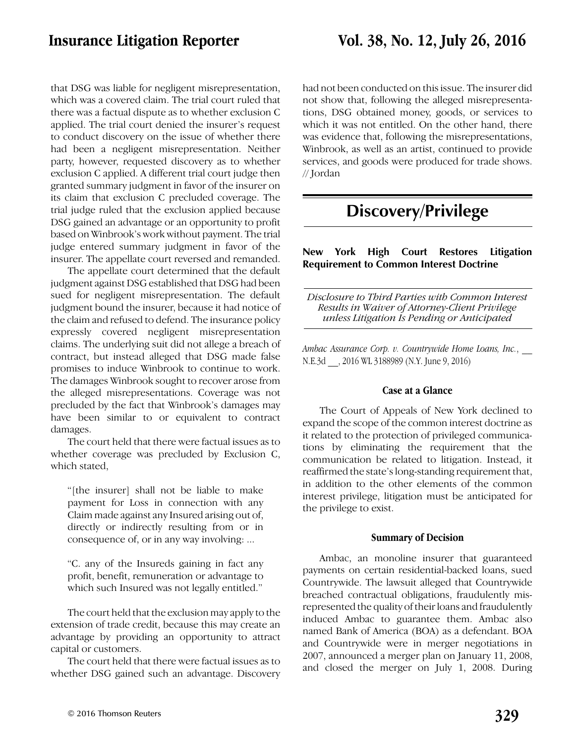that DSG was liable for negligent misrepresentation, which was a covered claim. The trial court ruled that there was a factual dispute as to whether exclusion C applied. The trial court denied the insurer's request to conduct discovery on the issue of whether there had been a negligent misrepresentation. Neither party, however, requested discovery as to whether exclusion C applied. A different trial court judge then granted summary judgment in favor of the insurer on its claim that exclusion C precluded coverage. The trial judge ruled that the exclusion applied because DSG gained an advantage or an opportunity to profit based on Winbrook's work without payment. The trial judge entered summary judgment in favor of the insurer. The appellate court reversed and remanded.

The appellate court determined that the default judgment against DSG established that DSG had been sued for negligent misrepresentation. The default judgment bound the insurer, because it had notice of the claim and refused to defend. The insurance policy expressly covered negligent misrepresentation claims. The underlying suit did not allege a breach of contract, but instead alleged that DSG made false promises to induce Winbrook to continue to work. The damages Winbrook sought to recover arose from the alleged misrepresentations. Coverage was not precluded by the fact that Winbrook's damages may have been similar to or equivalent to contract damages.

The court held that there were factual issues as to whether coverage was precluded by Exclusion C, which stated,

"[the insurer] shall not be liable to make payment for Loss in connection with any Claim made against any Insured arising out of, directly or indirectly resulting from or in consequence of, or in any way involving: ...

"C. any of the Insureds gaining in fact any profit, benefit, remuneration or advantage to which such Insured was not legally entitled."

The court held that the exclusion may apply to the extension of trade credit, because this may create an advantage by providing an opportunity to attract capital or customers.

The court held that there were factual issues as to whether DSG gained such an advantage. Discovery

had not been conducted on this issue. The insurer did not show that, following the alleged misrepresentations, DSG obtained money, goods, or services to which it was not entitled. On the other hand, there was evidence that, following the misrepresentations, Winbrook, as well as an artist, continued to provide services, and goods were produced for trade shows. // Jordan

# **Discovery/Privilege**

**New York High Court Restores Litigation Requirement to Common Interest Doctrine** 

*Disclosure to Third Parties with Common Interest Results in Waiver of Attorney-Client Privilege unless Litigation Is Pending or Anticipated*

*Ambac Assurance Corp. v. Countrywide Home Loans, Inc.*, \_\_ N.E.3d \_\_, 2016 WL 3188989 (N.Y. June 9, 2016)

### **Case at a Glance**

The Court of Appeals of New York declined to expand the scope of the common interest doctrine as it related to the protection of privileged communications by eliminating the requirement that the communication be related to litigation. Instead, it reaffirmed the state's long-standing requirement that, in addition to the other elements of the common interest privilege, litigation must be anticipated for the privilege to exist.

### **Summary of Decision**

Ambac, an monoline insurer that guaranteed payments on certain residential-backed loans, sued Countrywide. The lawsuit alleged that Countrywide breached contractual obligations, fraudulently misrepresented the quality of their loans and fraudulently induced Ambac to guarantee them. Ambac also named Bank of America (BOA) as a defendant. BOA and Countrywide were in merger negotiations in 2007, announced a merger plan on January 11, 2008, and closed the merger on July 1, 2008. During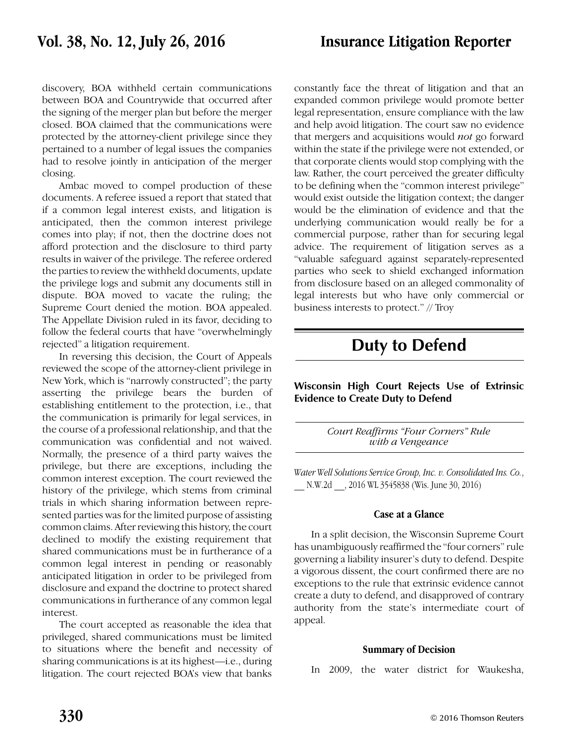## **Vol. 38, No. 12, July 26, 2016 Insurance Litigation Reporter**

discovery, BOA withheld certain communications between BOA and Countrywide that occurred after the signing of the merger plan but before the merger closed. BOA claimed that the communications were protected by the attorney-client privilege since they pertained to a number of legal issues the companies had to resolve jointly in anticipation of the merger closing.

Ambac moved to compel production of these documents. A referee issued a report that stated that if a common legal interest exists, and litigation is anticipated, then the common interest privilege comes into play; if not, then the doctrine does not afford protection and the disclosure to third party results in waiver of the privilege. The referee ordered the parties to review the withheld documents, update the privilege logs and submit any documents still in dispute. BOA moved to vacate the ruling; the Supreme Court denied the motion. BOA appealed. The Appellate Division ruled in its favor, deciding to follow the federal courts that have "overwhelmingly rejected" a litigation requirement.

In reversing this decision, the Court of Appeals reviewed the scope of the attorney-client privilege in New York, which is "narrowly constructed"; the party asserting the privilege bears the burden of establishing entitlement to the protection, i.e., that the communication is primarily for legal services, in the course of a professional relationship, and that the communication was confidential and not waived. Normally, the presence of a third party waives the privilege, but there are exceptions, including the common interest exception. The court reviewed the history of the privilege, which stems from criminal trials in which sharing information between represented parties was for the limited purpose of assisting common claims. After reviewing this history, the court declined to modify the existing requirement that shared communications must be in furtherance of a common legal interest in pending or reasonably anticipated litigation in order to be privileged from disclosure and expand the doctrine to protect shared communications in furtherance of any common legal interest.

The court accepted as reasonable the idea that privileged, shared communications must be limited to situations where the benefit and necessity of sharing communications is at its highest—i.e., during litigation. The court rejected BOA's view that banks

constantly face the threat of litigation and that an expanded common privilege would promote better legal representation, ensure compliance with the law and help avoid litigation. The court saw no evidence that mergers and acquisitions would *not* go forward within the state if the privilege were not extended, or that corporate clients would stop complying with the law. Rather, the court perceived the greater difficulty to be defining when the "common interest privilege" would exist outside the litigation context; the danger would be the elimination of evidence and that the underlying communication would really be for a commercial purpose, rather than for securing legal advice. The requirement of litigation serves as a "valuable safeguard against separately-represented parties who seek to shield exchanged information from disclosure based on an alleged commonality of legal interests but who have only commercial or business interests to protect." // Troy

# **Duty to Defend**

**Wisconsin High Court Rejects Use of Extrinsic Evidence to Create Duty to Defend**

> *Court Reaffirms "Four Corners" Rule with a Vengeance*

*Water Well Solutions Service Group, Inc. v. Consolidated Ins. Co.*, \_\_ N.W.2d \_\_, 2016 WL 3545838 (Wis. June 30, 2016)

### **Case at a Glance**

In a split decision, the Wisconsin Supreme Court has unambiguously reaffirmed the "four corners" rule governing a liability insurer's duty to defend. Despite a vigorous dissent, the court confirmed there are no exceptions to the rule that extrinsic evidence cannot create a duty to defend, and disapproved of contrary authority from the state's intermediate court of appeal.

### **Summary of Decision**

In 2009, the water district for Waukesha,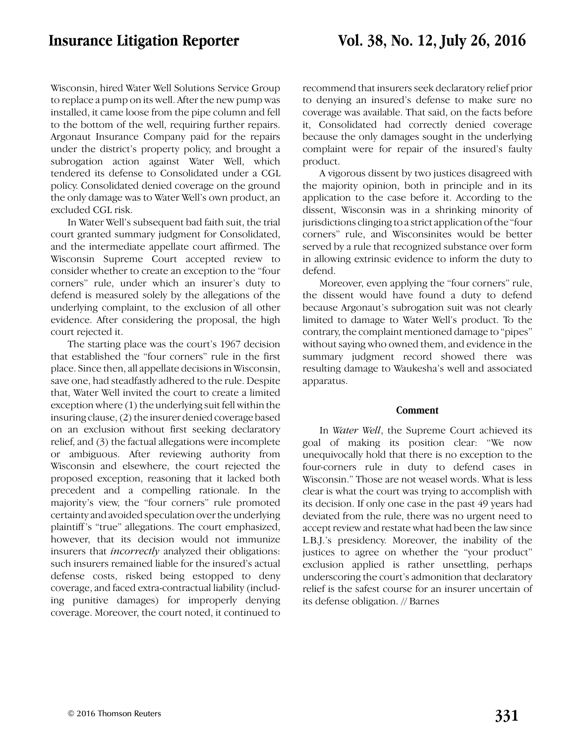Wisconsin, hired Water Well Solutions Service Group to replace a pump on its well. After the new pump was installed, it came loose from the pipe column and fell to the bottom of the well, requiring further repairs. Argonaut Insurance Company paid for the repairs under the district's property policy, and brought a subrogation action against Water Well, which tendered its defense to Consolidated under a CGL policy. Consolidated denied coverage on the ground the only damage was to Water Well's own product, an excluded CGL risk.

In Water Well's subsequent bad faith suit, the trial court granted summary judgment for Consolidated, and the intermediate appellate court affirmed. The Wisconsin Supreme Court accepted review to consider whether to create an exception to the "four corners" rule, under which an insurer's duty to defend is measured solely by the allegations of the underlying complaint, to the exclusion of all other evidence. After considering the proposal, the high court rejected it.

The starting place was the court's 1967 decision that established the "four corners" rule in the first place. Since then, all appellate decisions in Wisconsin, save one, had steadfastly adhered to the rule. Despite that, Water Well invited the court to create a limited exception where (1) the underlying suit fell within the insuring clause, (2) the insurer denied coverage based on an exclusion without first seeking declaratory relief, and (3) the factual allegations were incomplete or ambiguous. After reviewing authority from Wisconsin and elsewhere, the court rejected the proposed exception, reasoning that it lacked both precedent and a compelling rationale. In the majority's view, the "four corners" rule promoted certainty and avoided speculation over the underlying plaintiff 's "true" allegations. The court emphasized, however, that its decision would not immunize insurers that *incorrectly* analyzed their obligations: such insurers remained liable for the insured's actual defense costs, risked being estopped to deny coverage, and faced extra-contractual liability (including punitive damages) for improperly denying coverage. Moreover, the court noted, it continued to

recommend that insurers seek declaratory relief prior to denying an insured's defense to make sure no coverage was available. That said, on the facts before it, Consolidated had correctly denied coverage because the only damages sought in the underlying complaint were for repair of the insured's faulty product.

A vigorous dissent by two justices disagreed with the majority opinion, both in principle and in its application to the case before it. According to the dissent, Wisconsin was in a shrinking minority of jurisdictions clinging to a strict application of the "four corners" rule, and Wisconsinites would be better served by a rule that recognized substance over form in allowing extrinsic evidence to inform the duty to defend.

Moreover, even applying the "four corners" rule, the dissent would have found a duty to defend because Argonaut's subrogation suit was not clearly limited to damage to Water Well's product. To the contrary, the complaint mentioned damage to "pipes" without saying who owned them, and evidence in the summary judgment record showed there was resulting damage to Waukesha's well and associated apparatus.

### **Comment**

In *Water Well*, the Supreme Court achieved its goal of making its position clear: "We now unequivocally hold that there is no exception to the four-corners rule in duty to defend cases in Wisconsin." Those are not weasel words. What is less clear is what the court was trying to accomplish with its decision. If only one case in the past 49 years had deviated from the rule, there was no urgent need to accept review and restate what had been the law since L.B.J.'s presidency. Moreover, the inability of the justices to agree on whether the "your product" exclusion applied is rather unsettling, perhaps underscoring the court's admonition that declaratory relief is the safest course for an insurer uncertain of its defense obligation. // Barnes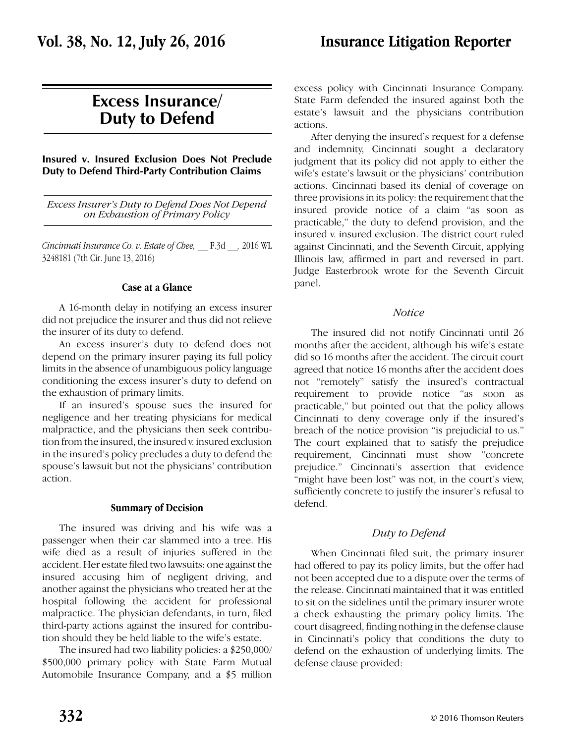## **Excess Insurance/ Duty to Defend**

**Insured v. Insured Exclusion Does Not Preclude Duty to Defend Third-Party Contribution Claims**

*Excess Insurer's Duty to Defend Does Not Depend on Exhaustion of Primary Policy*

*Cincinnati Insurance Co. v. Estate of Chee, \_\_* F.3d *\_\_,* 2016 WL 3248181 (7th Cir. June 13, 2016)

### **Case at a Glance**

A 16-month delay in notifying an excess insurer did not prejudice the insurer and thus did not relieve the insurer of its duty to defend.

An excess insurer's duty to defend does not depend on the primary insurer paying its full policy limits in the absence of unambiguous policy language conditioning the excess insurer's duty to defend on the exhaustion of primary limits.

If an insured's spouse sues the insured for negligence and her treating physicians for medical malpractice, and the physicians then seek contribution from the insured, the insured v. insured exclusion in the insured's policy precludes a duty to defend the spouse's lawsuit but not the physicians' contribution action.

### **Summary of Decision**

The insured was driving and his wife was a passenger when their car slammed into a tree. His wife died as a result of injuries suffered in the accident. Her estate filed two lawsuits: one against the insured accusing him of negligent driving, and another against the physicians who treated her at the hospital following the accident for professional malpractice. The physician defendants, in turn, filed third-party actions against the insured for contribution should they be held liable to the wife's estate.

The insured had two liability policies: a \$250,000/ \$500,000 primary policy with State Farm Mutual Automobile Insurance Company, and a \$5 million

excess policy with Cincinnati Insurance Company. State Farm defended the insured against both the estate's lawsuit and the physicians contribution actions.

After denying the insured's request for a defense and indemnity, Cincinnati sought a declaratory judgment that its policy did not apply to either the wife's estate's lawsuit or the physicians' contribution actions. Cincinnati based its denial of coverage on three provisions in its policy: the requirement that the insured provide notice of a claim "as soon as practicable," the duty to defend provision, and the insured v. insured exclusion. The district court ruled against Cincinnati, and the Seventh Circuit, applying Illinois law, affirmed in part and reversed in part. Judge Easterbrook wrote for the Seventh Circuit panel.

### *Notice*

The insured did not notify Cincinnati until 26 months after the accident, although his wife's estate did so 16 months after the accident. The circuit court agreed that notice 16 months after the accident does not "remotely" satisfy the insured's contractual requirement to provide notice "as soon as practicable," but pointed out that the policy allows Cincinnati to deny coverage only if the insured's breach of the notice provision "is prejudicial to us." The court explained that to satisfy the prejudice requirement, Cincinnati must show "concrete prejudice." Cincinnati's assertion that evidence "might have been lost" was not, in the court's view, sufficiently concrete to justify the insurer's refusal to defend.

### *Duty to Defend*

When Cincinnati filed suit, the primary insurer had offered to pay its policy limits, but the offer had not been accepted due to a dispute over the terms of the release. Cincinnati maintained that it was entitled to sit on the sidelines until the primary insurer wrote a check exhausting the primary policy limits. The court disagreed, finding nothing in the defense clause in Cincinnati's policy that conditions the duty to defend on the exhaustion of underlying limits. The defense clause provided: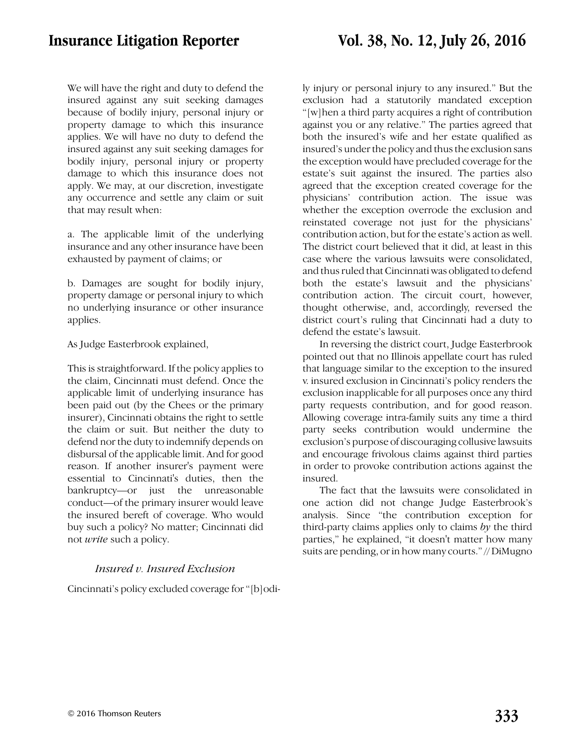We will have the right and duty to defend the insured against any suit seeking damages because of bodily injury, personal injury or property damage to which this insurance applies. We will have no duty to defend the insured against any suit seeking damages for bodily injury, personal injury or property damage to which this insurance does not apply. We may, at our discretion, investigate any occurrence and settle any claim or suit that may result when:

a. The applicable limit of the underlying insurance and any other insurance have been exhausted by payment of claims; or

b. Damages are sought for bodily injury, property damage or personal injury to which no underlying insurance or other insurance applies.

As Judge Easterbrook explained,

This is straightforward. If the policy applies to the claim, Cincinnati must defend. Once the applicable limit of underlying insurance has been paid out (by the Chees or the primary insurer), Cincinnati obtains the right to settle the claim or suit. But neither the duty to defend nor the duty to indemnify depends on disbursal of the applicable limit. And for good reason. If another insurer's payment were essential to Cincinnati's duties, then the bankruptcy—or just the unreasonable conduct—of the primary insurer would leave the insured bereft of coverage. Who would buy such a policy? No matter; Cincinnati did not *write* such a policy.

### *Insured v. Insured Exclusion*

Cincinnati's policy excluded coverage for "[b]odi-

ly injury or personal injury to any insured." But the exclusion had a statutorily mandated exception "[w]hen a third party acquires a right of contribution against you or any relative." The parties agreed that both the insured's wife and her estate qualified as insured's under the policy and thus the exclusion sans the exception would have precluded coverage for the estate's suit against the insured. The parties also agreed that the exception created coverage for the physicians' contribution action. The issue was whether the exception overrode the exclusion and reinstated coverage not just for the physicians' contribution action, but for the estate's action as well. The district court believed that it did, at least in this case where the various lawsuits were consolidated, and thus ruled that Cincinnati was obligated to defend both the estate's lawsuit and the physicians' contribution action. The circuit court, however, thought otherwise, and, accordingly, reversed the district court's ruling that Cincinnati had a duty to defend the estate's lawsuit.

In reversing the district court, Judge Easterbrook pointed out that no Illinois appellate court has ruled that language similar to the exception to the insured v. insured exclusion in Cincinnati's policy renders the exclusion inapplicable for all purposes once any third party requests contribution, and for good reason. Allowing coverage intra-family suits any time a third party seeks contribution would undermine the exclusion's purpose of discouraging collusive lawsuits and encourage frivolous claims against third parties in order to provoke contribution actions against the insured.

The fact that the lawsuits were consolidated in one action did not change Judge Easterbrook's analysis. Since "the contribution exception for third-party claims applies only to claims *by* the third parties," he explained, "it doesn't matter how many suits are pending, or in how many courts." // DiMugno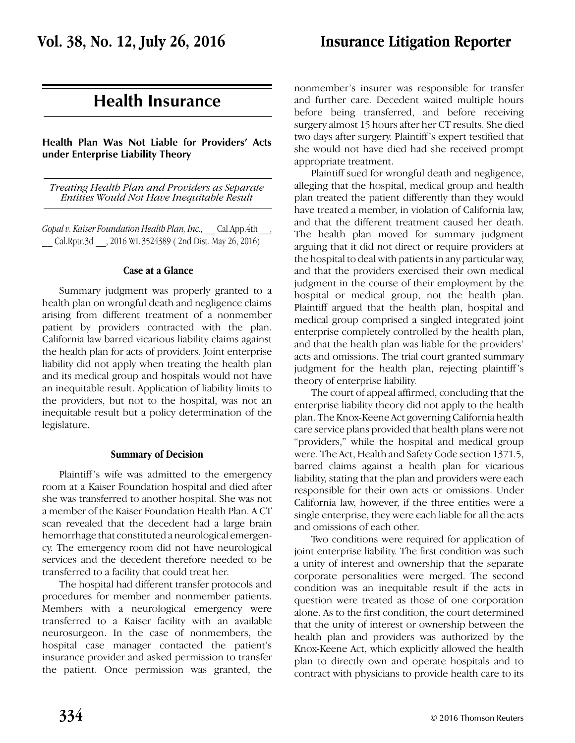## **Health Insurance**

**Health Plan Was Not Liable for Providers' Acts under Enterprise Liability Theory**

*Treating Health Plan and Providers as Separate Entities Would Not Have Inequitable Result* 

*Gopal v. Kaiser Foundation Health Plan, Inc.,* \_\_ Cal.App.4th \_\_, \_\_ Cal.Rptr.3d \_\_, 2016 WL 3524389 ( 2nd Dist. May 26, 2016)

### **Case at a Glance**

Summary judgment was properly granted to a health plan on wrongful death and negligence claims arising from different treatment of a nonmember patient by providers contracted with the plan. California law barred vicarious liability claims against the health plan for acts of providers. Joint enterprise liability did not apply when treating the health plan and its medical group and hospitals would not have an inequitable result. Application of liability limits to the providers, but not to the hospital, was not an inequitable result but a policy determination of the legislature.

### **Summary of Decision**

Plaintiff 's wife was admitted to the emergency room at a Kaiser Foundation hospital and died after she was transferred to another hospital. She was not a member of the Kaiser Foundation Health Plan. A CT scan revealed that the decedent had a large brain hemorrhage that constituted a neurological emergency. The emergency room did not have neurological services and the decedent therefore needed to be transferred to a facility that could treat her.

The hospital had different transfer protocols and procedures for member and nonmember patients. Members with a neurological emergency were transferred to a Kaiser facility with an available neurosurgeon. In the case of nonmembers, the hospital case manager contacted the patient's insurance provider and asked permission to transfer the patient. Once permission was granted, the nonmember's insurer was responsible for transfer and further care. Decedent waited multiple hours before being transferred, and before receiving surgery almost 15 hours after her CT results. She died two days after surgery. Plaintiff 's expert testified that she would not have died had she received prompt appropriate treatment.

Plaintiff sued for wrongful death and negligence, alleging that the hospital, medical group and health plan treated the patient differently than they would have treated a member, in violation of California law, and that the different treatment caused her death. The health plan moved for summary judgment arguing that it did not direct or require providers at the hospital to deal with patients in any particular way, and that the providers exercised their own medical judgment in the course of their employment by the hospital or medical group, not the health plan. Plaintiff argued that the health plan, hospital and medical group comprised a singled integrated joint enterprise completely controlled by the health plan, and that the health plan was liable for the providers' acts and omissions. The trial court granted summary judgment for the health plan, rejecting plaintiff's theory of enterprise liability.

The court of appeal affirmed, concluding that the enterprise liability theory did not apply to the health plan. The Knox-Keene Act governing California health care service plans provided that health plans were not "providers," while the hospital and medical group were. The Act, Health and Safety Code section 1371.5, barred claims against a health plan for vicarious liability, stating that the plan and providers were each responsible for their own acts or omissions. Under California law, however, if the three entities were a single enterprise, they were each liable for all the acts and omissions of each other.

Two conditions were required for application of joint enterprise liability. The first condition was such a unity of interest and ownership that the separate corporate personalities were merged. The second condition was an inequitable result if the acts in question were treated as those of one corporation alone. As to the first condition, the court determined that the unity of interest or ownership between the health plan and providers was authorized by the Knox-Keene Act, which explicitly allowed the health plan to directly own and operate hospitals and to contract with physicians to provide health care to its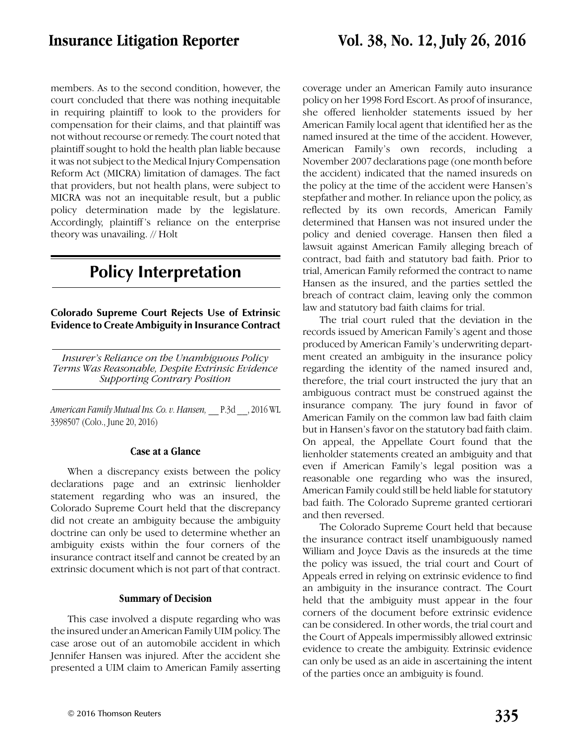members. As to the second condition, however, the court concluded that there was nothing inequitable in requiring plaintiff to look to the providers for compensation for their claims, and that plaintiff was not without recourse or remedy. The court noted that plaintiff sought to hold the health plan liable because it was not subject to the Medical Injury Compensation Reform Act (MICRA) limitation of damages. The fact that providers, but not health plans, were subject to MICRA was not an inequitable result, but a public policy determination made by the legislature. Accordingly, plaintiff's reliance on the enterprise theory was unavailing. // Holt

# **Policy Interpretation**

**Colorado Supreme Court Rejects Use of Extrinsic Evidence to Create Ambiguity in Insurance Contract**

*Insurer's Reliance on the Unambiguous Policy Terms Was Reasonable, Despite Extrinsic Evidence Supporting Contrary Position*

*American Family Mutual Ins. Co. v. Hansen, \_\_* P.3d \_\_, 2016 WL 3398507 (Colo., June 20, 2016)

### **Case at a Glance**

When a discrepancy exists between the policy declarations page and an extrinsic lienholder statement regarding who was an insured, the Colorado Supreme Court held that the discrepancy did not create an ambiguity because the ambiguity doctrine can only be used to determine whether an ambiguity exists within the four corners of the insurance contract itself and cannot be created by an extrinsic document which is not part of that contract.

### **Summary of Decision**

This case involved a dispute regarding who was the insured under an American Family UIM policy. The case arose out of an automobile accident in which Jennifer Hansen was injured. After the accident she presented a UIM claim to American Family asserting

coverage under an American Family auto insurance policy on her 1998 Ford Escort. As proof of insurance, she offered lienholder statements issued by her American Family local agent that identified her as the named insured at the time of the accident. However, American Family's own records, including a November 2007 declarations page (one month before the accident) indicated that the named insureds on the policy at the time of the accident were Hansen's stepfather and mother. In reliance upon the policy, as reflected by its own records, American Family determined that Hansen was not insured under the policy and denied coverage. Hansen then filed a lawsuit against American Family alleging breach of contract, bad faith and statutory bad faith. Prior to trial, American Family reformed the contract to name Hansen as the insured, and the parties settled the breach of contract claim, leaving only the common law and statutory bad faith claims for trial.

The trial court ruled that the deviation in the records issued by American Family's agent and those produced by American Family's underwriting department created an ambiguity in the insurance policy regarding the identity of the named insured and, therefore, the trial court instructed the jury that an ambiguous contract must be construed against the insurance company. The jury found in favor of American Family on the common law bad faith claim but in Hansen's favor on the statutory bad faith claim. On appeal, the Appellate Court found that the lienholder statements created an ambiguity and that even if American Family's legal position was a reasonable one regarding who was the insured, American Family could still be held liable for statutory bad faith. The Colorado Supreme granted certiorari and then reversed.

The Colorado Supreme Court held that because the insurance contract itself unambiguously named William and Joyce Davis as the insureds at the time the policy was issued, the trial court and Court of Appeals erred in relying on extrinsic evidence to find an ambiguity in the insurance contract. The Court held that the ambiguity must appear in the four corners of the document before extrinsic evidence can be considered. In other words, the trial court and the Court of Appeals impermissibly allowed extrinsic evidence to create the ambiguity. Extrinsic evidence can only be used as an aide in ascertaining the intent of the parties once an ambiguity is found.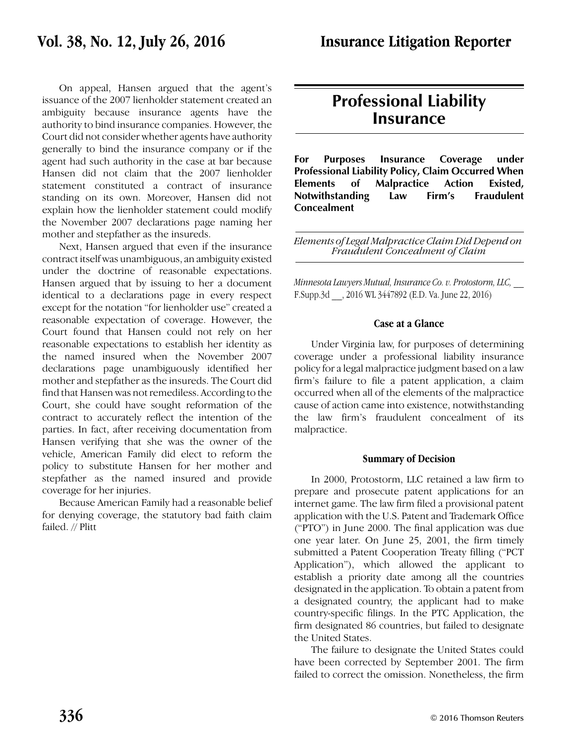On appeal, Hansen argued that the agent's issuance of the 2007 lienholder statement created an ambiguity because insurance agents have the authority to bind insurance companies. However, the Court did not consider whether agents have authority generally to bind the insurance company or if the agent had such authority in the case at bar because Hansen did not claim that the 2007 lienholder statement constituted a contract of insurance standing on its own. Moreover, Hansen did not explain how the lienholder statement could modify the November 2007 declarations page naming her mother and stepfather as the insureds.

Next, Hansen argued that even if the insurance contract itself was unambiguous, an ambiguity existed under the doctrine of reasonable expectations. Hansen argued that by issuing to her a document identical to a declarations page in every respect except for the notation "for lienholder use" created a reasonable expectation of coverage. However, the Court found that Hansen could not rely on her reasonable expectations to establish her identity as the named insured when the November 2007 declarations page unambiguously identified her mother and stepfather as the insureds. The Court did find that Hansen was not remediless. According to the Court, she could have sought reformation of the contract to accurately reflect the intention of the parties. In fact, after receiving documentation from Hansen verifying that she was the owner of the vehicle, American Family did elect to reform the policy to substitute Hansen for her mother and stepfather as the named insured and provide coverage for her injuries.

Because American Family had a reasonable belief for denying coverage, the statutory bad faith claim failed. // Plitt

# **Professional Liability Insurance**

**For Purposes Insurance Coverage under Professional Liability Policy, Claim Occurred When Elements of Malpractice Action Existed, Notwithstanding Law Firm's Fraudulent Concealment**

*Elements of Legal Malpractice Claim Did Depend on Fraudulent Concealment of Claim*

*Minnesota Lawyers Mutual, Insurance Co. v. Protostorm, LLC,* \_\_ F.Supp.3d \_\_, 2016 WL 3447892 (E.D. Va. June 22, 2016)

### **Case at a Glance**

Under Virginia law, for purposes of determining coverage under a professional liability insurance policy for a legal malpractice judgment based on a law firm's failure to file a patent application, a claim occurred when all of the elements of the malpractice cause of action came into existence, notwithstanding the law firm's fraudulent concealment of its malpractice.

### **Summary of Decision**

In 2000, Protostorm, LLC retained a law firm to prepare and prosecute patent applications for an internet game. The law firm filed a provisional patent application with the U.S. Patent and Trademark Office ("PTO") in June 2000. The final application was due one year later. On June 25, 2001, the firm timely submitted a Patent Cooperation Treaty filling ("PCT Application"), which allowed the applicant to establish a priority date among all the countries designated in the application. To obtain a patent from a designated country, the applicant had to make country-specific filings. In the PTC Application, the firm designated 86 countries, but failed to designate the United States.

The failure to designate the United States could have been corrected by September 2001. The firm failed to correct the omission. Nonetheless, the firm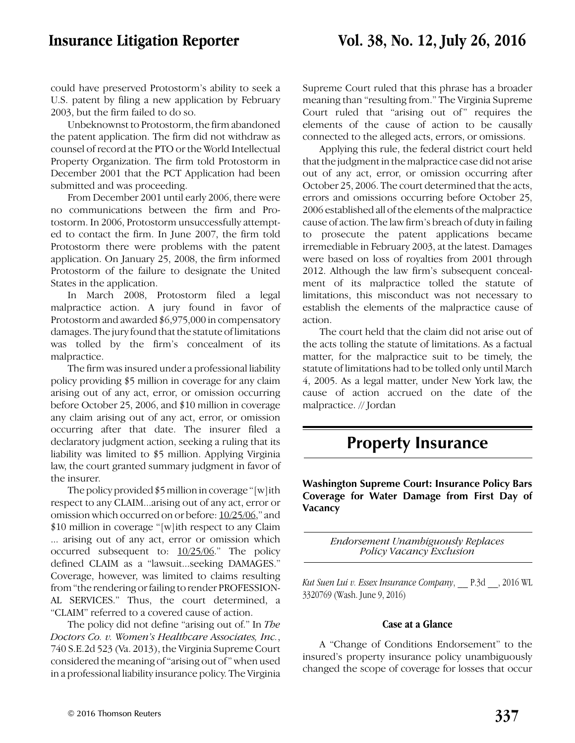could have preserved Protostorm's ability to seek a U.S. patent by filing a new application by February 2003, but the firm failed to do so.

Unbeknownst to Protostorm, the firm abandoned the patent application. The firm did not withdraw as counsel of record at the PTO or the World Intellectual Property Organization. The firm told Protostorm in December 2001 that the PCT Application had been submitted and was proceeding.

From December 2001 until early 2006, there were no communications between the firm and Protostorm. In 2006, Protostorm unsuccessfully attempted to contact the firm. In June 2007, the firm told Protostorm there were problems with the patent application. On January 25, 2008, the firm informed Protostorm of the failure to designate the United States in the application.

In March 2008, Protostorm filed a legal malpractice action. A jury found in favor of Protostorm and awarded \$6,975,000 in compensatory damages. The jury found that the statute of limitations was tolled by the firm's concealment of its malpractice.

The firm was insured under a professional liability policy providing \$5 million in coverage for any claim arising out of any act, error, or omission occurring before October 25, 2006, and \$10 million in coverage any claim arising out of any act, error, or omission occurring after that date. The insurer filed a declaratory judgment action, seeking a ruling that its liability was limited to \$5 million. Applying Virginia law, the court granted summary judgment in favor of the insurer.

The policy provided \$5 million in coverage "[w]ith respect to any CLAIM...arising out of any act, error or omission which occurred on or before: 10/25/06," and \$10 million in coverage "[w]ith respect to any Claim ... arising out of any act, error or omission which occurred subsequent to:  $10/25/06$ ." The policy defined CLAIM as a "lawsuit...seeking DAMAGES." Coverage, however, was limited to claims resulting from "the rendering or failing to render PROFESSION-AL SERVICES." Thus, the court determined, a "CLAIM" referred to a covered cause of action.

The policy did not define "arising out of." In *The Doctors Co. v. Women's Healthcare Associates, Inc.*, 740 S.E.2d 523 (Va. 2013), the Virginia Supreme Court considered the meaning of "arising out of " when used in a professional liability insurance policy. The Virginia Supreme Court ruled that this phrase has a broader meaning than "resulting from." The Virginia Supreme Court ruled that "arising out of" requires the elements of the cause of action to be causally connected to the alleged acts, errors, or omissions.

Applying this rule, the federal district court held that the judgment in the malpractice case did not arise out of any act, error, or omission occurring after October 25, 2006. The court determined that the acts, errors and omissions occurring before October 25, 2006 established all of the elements of the malpractice cause of action. The law firm's breach of duty in failing to prosecute the patent applications became irremediable in February 2003, at the latest. Damages were based on loss of royalties from 2001 through 2012. Although the law firm's subsequent concealment of its malpractice tolled the statute of limitations, this misconduct was not necessary to establish the elements of the malpractice cause of action.

The court held that the claim did not arise out of the acts tolling the statute of limitations. As a factual matter, for the malpractice suit to be timely, the statute of limitations had to be tolled only until March 4, 2005. As a legal matter, under New York law, the cause of action accrued on the date of the malpractice. // Jordan

# **Property Insurance**

**Washington Supreme Court: Insurance Policy Bars Coverage for Water Damage from First Day of Vacancy**

> *Endorsement Unambiguously Replaces Policy Vacancy Exclusion*

*Kut Suen Lui v. Essex Insurance Company*, \_\_ P.3d \_\_, 2016 WL 3320769 (Wash. June 9, 2016)

### **Case at a Glance**

A "Change of Conditions Endorsement" to the insured's property insurance policy unambiguously changed the scope of coverage for losses that occur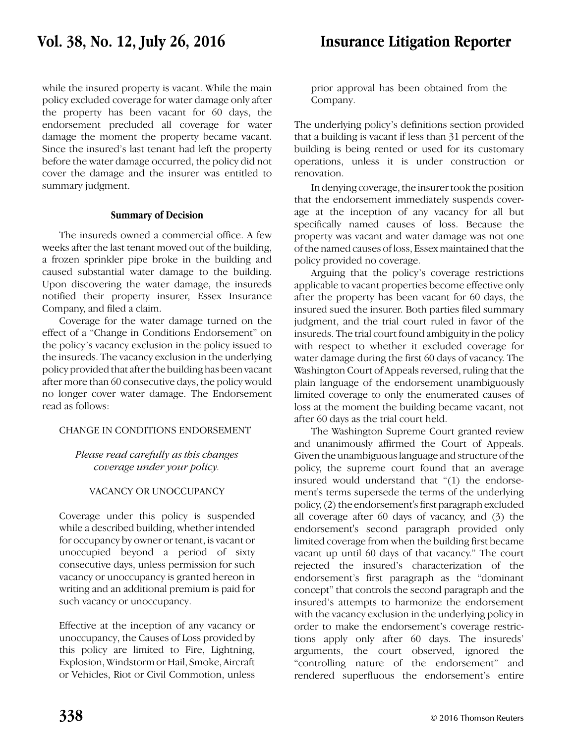while the insured property is vacant. While the main policy excluded coverage for water damage only after the property has been vacant for 60 days, the endorsement precluded all coverage for water damage the moment the property became vacant. Since the insured's last tenant had left the property before the water damage occurred, the policy did not cover the damage and the insurer was entitled to summary judgment.

### **Summary of Decision**

The insureds owned a commercial office. A few weeks after the last tenant moved out of the building, a frozen sprinkler pipe broke in the building and caused substantial water damage to the building. Upon discovering the water damage, the insureds notified their property insurer, Essex Insurance Company, and filed a claim.

Coverage for the water damage turned on the effect of a "Change in Conditions Endorsement" on the policy's vacancy exclusion in the policy issued to the insureds. The vacancy exclusion in the underlying policy provided that after the building has been vacant after more than 60 consecutive days, the policy would no longer cover water damage. The Endorsement read as follows:

### CHANGE IN CONDITIONS ENDORSEMENT

### *Please read carefully as this changes coverage under your policy.*

### VACANCY OR UNOCCUPANCY

Coverage under this policy is suspended while a described building, whether intended for occupancy by owner or tenant, is vacant or unoccupied beyond a period of sixty consecutive days, unless permission for such vacancy or unoccupancy is granted hereon in writing and an additional premium is paid for such vacancy or unoccupancy.

Effective at the inception of any vacancy or unoccupancy, the Causes of Loss provided by this policy are limited to Fire, Lightning, Explosion, Windstorm or Hail, Smoke, Aircraft or Vehicles, Riot or Civil Commotion, unless prior approval has been obtained from the Company.

The underlying policy's definitions section provided that a building is vacant if less than 31 percent of the building is being rented or used for its customary operations, unless it is under construction or renovation.

In denying coverage, the insurer took the position that the endorsement immediately suspends coverage at the inception of any vacancy for all but specifically named causes of loss. Because the property was vacant and water damage was not one of the named causes of loss, Essex maintained that the policy provided no coverage.

Arguing that the policy's coverage restrictions applicable to vacant properties become effective only after the property has been vacant for 60 days, the insured sued the insurer. Both parties filed summary judgment, and the trial court ruled in favor of the insureds. The trial court found ambiguity in the policy with respect to whether it excluded coverage for water damage during the first 60 days of vacancy. The Washington Court of Appeals reversed, ruling that the plain language of the endorsement unambiguously limited coverage to only the enumerated causes of loss at the moment the building became vacant, not after 60 days as the trial court held.

The Washington Supreme Court granted review and unanimously affirmed the Court of Appeals. Given the unambiguous language and structure of the policy, the supreme court found that an average insured would understand that "(1) the endorsement's terms supersede the terms of the underlying policy, (2) the endorsement's first paragraph excluded all coverage after 60 days of vacancy, and (3) the endorsement's second paragraph provided only limited coverage from when the building first became vacant up until 60 days of that vacancy." The court rejected the insured's characterization of the endorsement's first paragraph as the "dominant concept" that controls the second paragraph and the insured's attempts to harmonize the endorsement with the vacancy exclusion in the underlying policy in order to make the endorsement's coverage restrictions apply only after 60 days. The insureds' arguments, the court observed, ignored the "controlling nature of the endorsement" and rendered superfluous the endorsement's entire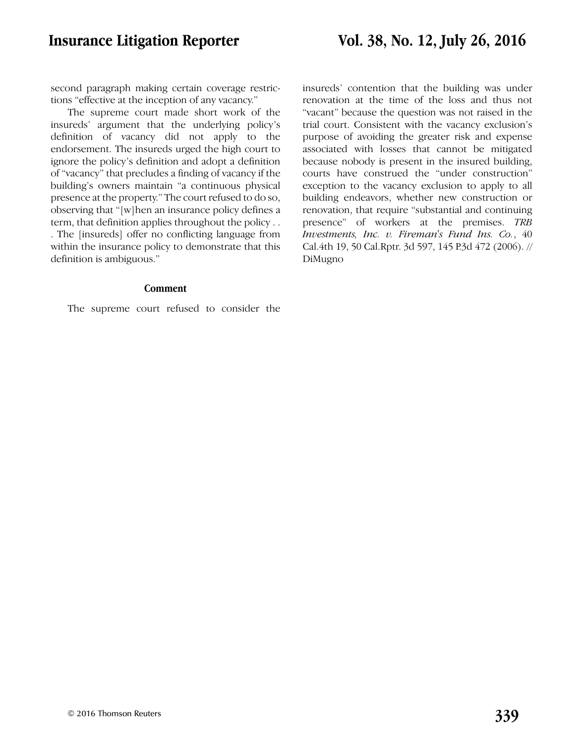second paragraph making certain coverage restrictions "effective at the inception of any vacancy."

The supreme court made short work of the insureds' argument that the underlying policy's definition of vacancy did not apply to the endorsement. The insureds urged the high court to ignore the policy's definition and adopt a definition of "vacancy" that precludes a finding of vacancy if the building's owners maintain "a continuous physical presence at the property." The court refused to do so, observing that "[w]hen an insurance policy defines a term, that definition applies throughout the policy . . . The [insureds] offer no conflicting language from within the insurance policy to demonstrate that this definition is ambiguous."

#### **Comment**

The supreme court refused to consider the

insureds' contention that the building was under renovation at the time of the loss and thus not "vacant" because the question was not raised in the trial court. Consistent with the vacancy exclusion's purpose of avoiding the greater risk and expense associated with losses that cannot be mitigated because nobody is present in the insured building, courts have construed the "under construction" exception to the vacancy exclusion to apply to all building endeavors, whether new construction or renovation, that require "substantial and continuing presence" of workers at the premises. *TRB Investments, Inc. v. Fireman's Fund Ins. Co.*, 40 Cal.4th 19, 50 Cal.Rptr. 3d 597, 145 P.3d 472 (2006). // DiMugno